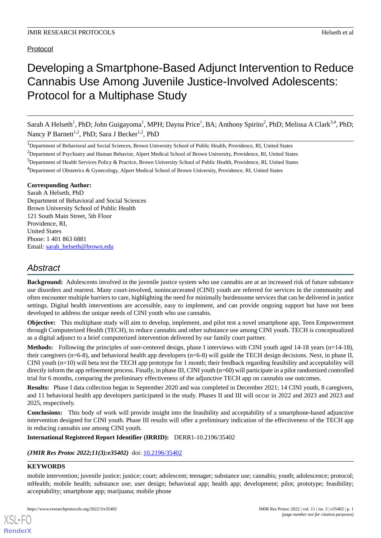Protocol

# Developing a Smartphone-Based Adjunct Intervention to Reduce Cannabis Use Among Juvenile Justice-Involved Adolescents: Protocol for a Multiphase Study

Sarah A Helseth<sup>1</sup>, PhD; John Guigayoma<sup>1</sup>, MPH; Dayna Price<sup>1</sup>, BA; Anthony Spirito<sup>2</sup>, PhD; Melissa A Clark<sup>3,4</sup>, PhD; Nancy P Barnett<sup>1,2</sup>, PhD; Sara J Becker<sup>1,2</sup>, PhD

<sup>1</sup>Department of Behavioral and Social Sciences, Brown University School of Public Health, Providence, RI, United States

<sup>2</sup>Department of Psychiatry and Human Behavior, Alpert Medical School of Brown University, Providence, RI, United States

<sup>3</sup>Department of Health Services Policy & Practice, Brown University School of Public Health, Providence, RI, United States

<sup>4</sup>Department of Obstetrics & Gynecology, Alpert Medical School of Brown University, Providence, RI, United States

## **Corresponding Author:**

Sarah A Helseth, PhD Department of Behavioral and Social Sciences Brown University School of Public Health 121 South Main Street, 5th Floor Providence, RI, United States Phone: 1 401 863 6881 Email: [sarah\\_helseth@brown.edu](mailto:sarah_helseth@brown.edu)

## *Abstract*

**Background:** Adolescents involved in the juvenile justice system who use cannabis are at an increased risk of future substance use disorders and rearrest. Many court-involved, nonincarcerated (CINI) youth are referred for services in the community and often encounter multiple barriers to care, highlighting the need for minimally burdensome services that can be delivered in justice settings. Digital health interventions are accessible, easy to implement, and can provide ongoing support but have not been developed to address the unique needs of CINI youth who use cannabis.

**Objective:** This multiphase study will aim to develop, implement, and pilot test a novel smartphone app, Teen Empowerment through Computerized Health (TECH), to reduce cannabis and other substance use among CINI youth. TECH is conceptualized as a digital adjunct to a brief computerized intervention delivered by our family court partner.

**Methods:** Following the principles of user-centered design, phase I interviews with CINI youth aged 14-18 years (n=14-18), their caregivers (n=6-8), and behavioral health app developers (n=6-8) will guide the TECH design decisions. Next, in phase II, CINI youth (n=10) will beta test the TECH app prototype for 1 month; their feedback regarding feasibility and acceptability will directly inform the app refinement process. Finally, in phase III, CINI youth (n=60) will participate in a pilot randomized controlled trial for 6 months, comparing the preliminary effectiveness of the adjunctive TECH app on cannabis use outcomes.

**Results:** Phase I data collection began in September 2020 and was completed in December 2021; 14 CINI youth, 8 caregivers, and 11 behavioral health app developers participated in the study. Phases II and III will occur in 2022 and 2023 and 2023 and 2025, respectively.

**Conclusions:** This body of work will provide insight into the feasibility and acceptability of a smartphone-based adjunctive intervention designed for CINI youth. Phase III results will offer a preliminary indication of the effectiveness of the TECH app in reducing cannabis use among CINI youth.

## **International Registered Report Identifier (IRRID):** DERR1-10.2196/35402

(JMIR Res Protoc 2022;11(3):e35402) doi: [10.2196/35402](http://dx.doi.org/10.2196/35402)

## **KEYWORDS**

[XSL](http://www.w3.org/Style/XSL)•FO **[RenderX](http://www.renderx.com/)**

mobile intervention; juvenile justice; justice; court; adolescent; teenager; substance use; cannabis; youth; adolescence; protocol; mHealth; mobile health; substance use; user design; behavioral app; health app; development; pilot; prototype; feasibility; acceptability; smartphone app; marijuana; mobile phone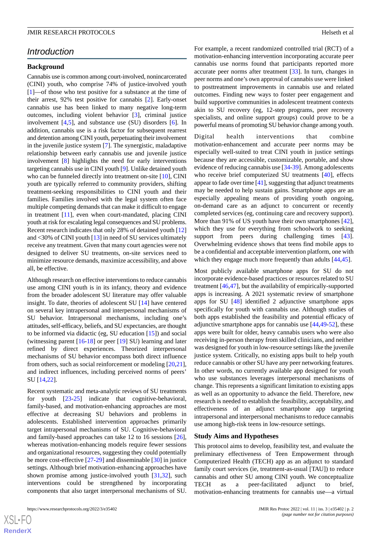## *Introduction*

#### **Background**

Cannabis use is common among court-involved, nonincarcerated (CINI) youth, who comprise 74% of justice-involved youth [[1\]](#page-10-0)—of those who test positive for a substance at the time of their arrest, 92% test positive for cannabis [\[2](#page-10-1)]. Early-onset cannabis use has been linked to many negative long-term outcomes, including violent behavior [[3\]](#page-10-2), criminal justice involvement [\[4](#page-10-3),[5\]](#page-10-4), and substance use (SU) disorders [\[6](#page-10-5)]. In addition, cannabis use is a risk factor for subsequent rearrest and detention among CINI youth, perpetuating their involvement in the juvenile justice system [[7\]](#page-10-6). The synergistic, maladaptive relationship between early cannabis use and juvenile justice involvement [[8\]](#page-10-7) highlights the need for early interventions targeting cannabis use in CINI youth [[9\]](#page-10-8). Unlike detained youth who can be funneled directly into treatment on-site [[10\]](#page-10-9), CINI youth are typically referred to community providers, shifting treatment-seeking responsibilities to CINI youth and their families. Families involved with the legal system often face multiple competing demands that can make it difficult to engage in treatment [[11\]](#page-10-10), even when court-mandated, placing CINI youth at risk for escalating legal consequences and SU problems. Recent research indicates that only 28% of detained youth [\[12](#page-10-11)] and <30% of CINI youth [[13\]](#page-10-12) in need of SU services ultimately receive any treatment. Given that many court agencies were not designed to deliver SU treatments, on-site services need to minimize resource demands, maximize accessibility, and above all, be effective.

Although research on effective interventions to reduce cannabis use among CINI youth is in its infancy, theory and evidence from the broader adolescent SU literature may offer valuable insight. To date, theories of adolescent SU [\[14](#page-10-13)] have centered on several key intrapersonal and interpersonal mechanisms of SU behavior. Intrapersonal mechanisms, including one's attitudes, self-efficacy, beliefs, and SU expectancies, are thought to be informed via didactic (eg, SU education [[15\]](#page-11-0)) and social (witnessing parent [\[16](#page-11-1)-[18\]](#page-11-2) or peer [\[19](#page-11-3)] SU) learning and later refined by direct experiences. Theorized interpersonal mechanisms of SU behavior encompass both direct influence from others, such as social reinforcement or modeling [\[20](#page-11-4),[21\]](#page-11-5), and indirect influences, including perceived norms of peers' SU [\[14](#page-10-13),[22\]](#page-11-6).

Recent systematic and meta-analytic reviews of SU treatments for youth [[23-](#page-11-7)[25\]](#page-11-8) indicate that cognitive-behavioral, family-based, and motivation-enhancing approaches are most effective at decreasing SU behaviors and problems in adolescents. Established intervention approaches primarily target intrapersonal mechanisms of SU. Cognitive-behavioral and family-based approaches can take 12 to 16 sessions [[26\]](#page-11-9), whereas motivation-enhancing models require fewer sessions and organizational resources, suggesting they could potentially be more cost-effective [\[27](#page-11-10)-[29\]](#page-11-11) and disseminable [[30\]](#page-11-12) in justice settings. Although brief motivation-enhancing approaches have shown promise among justice-involved youth [\[31](#page-11-13),[32\]](#page-11-14), such interventions could be strengthened by incorporating components that also target interpersonal mechanisms of SU.

For example, a recent randomized controlled trial (RCT) of a motivation-enhancing intervention incorporating accurate peer cannabis use norms found that participants reported more accurate peer norms after treatment [\[33](#page-11-15)]. In turn, changes in peer norms and one's own approval of cannabis use were linked to posttreatment improvements in cannabis use and related outcomes. Finding new ways to foster peer engagement and build supportive communities in adolescent treatment contexts akin to SU recovery (eg, 12-step programs, peer recovery specialists, and online support groups) could prove to be a powerful means of promoting SU behavior change among youth.

Digital health interventions that combine motivation-enhancement and accurate peer norms may be especially well-suited to treat CINI youth in justice settings because they are accessible, customizable, portable, and show evidence of reducing cannabis use [[34-](#page-11-16)[39\]](#page-12-0). Among adolescents who receive brief computerized SU treatments [\[40](#page-12-1)], effects appear to fade over time [\[41](#page-12-2)], suggesting that adjunct treatments may be needed to help sustain gains. Smartphone apps are an especially appealing means of providing youth ongoing, on-demand care as an adjunct to concurrent or recently completed services (eg, continuing care and recovery support). More than 91% of US youth have their own smartphones [[42\]](#page-12-3), which they use for everything from schoolwork to seeking support from peers during challenging times [[43\]](#page-12-4). Overwhelming evidence shows that teens find mobile apps to be a confidential and acceptable intervention platform, one with which they engage much more frequently than adults [[44,](#page-12-5)[45](#page-12-6)].

Most publicly available smartphone apps for SU do not incorporate evidence-based practices or resources related to SU treatment [\[46](#page-12-7),[47\]](#page-12-8), but the availability of empirically-supported apps is increasing. A 2021 systematic review of smartphone apps for SU [[48\]](#page-12-9) identified 2 adjunctive smartphone apps specifically for youth with cannabis use. Although studies of both apps established the feasibility and potential efficacy of adjunctive smartphone apps for cannabis use [\[44](#page-12-5),[49-](#page-12-10)[52\]](#page-12-11), these apps were built for older, heavy cannabis users who were also receiving in-person therapy from skilled clinicians, and neither was designed for youth in low-resource settings like the juvenile justice system. Critically, no existing apps built to help youth reduce cannabis or other SU have any peer networking features. In other words, no currently available app designed for youth who use substances leverages interpersonal mechanisms of change. This represents a significant limitation to existing apps as well as an opportunity to advance the field. Therefore, new research is needed to establish the feasibility, acceptability, and effectiveness of an adjunct smartphone app targeting intrapersonal and interpersonal mechanisms to reduce cannabis use among high-risk teens in low-resource settings.

## **Study Aims and Hypotheses**

This protocol aims to develop, feasibility test, and evaluate the preliminary effectiveness of Teen Empowerment through Computerized Health (TECH) app as an adjunct to standard family court services (ie, treatment-as-usual [TAU]) to reduce cannabis and other SU among CINI youth. We conceptualize TECH as a peer-facilitated adjunct to brief, motivation-enhancing treatments for cannabis use—a virtual

 $XS$ -FO **[RenderX](http://www.renderx.com/)**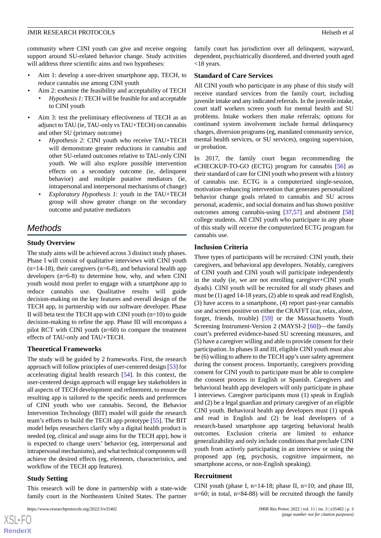community where CINI youth can give and receive ongoing support around SU-related behavior change. Study activities will address three scientific aims and two hypotheses:

- Aim 1: develop a user-driven smartphone app, TECH, to reduce cannabis use among CINI youth
- Aim 2: examine the feasibility and acceptability of TECH • *Hypothesis 1*: TECH will be feasible for and acceptable to CINI youth
- Aim 3: test the preliminary effectiveness of TECH as an adjunct to TAU (ie, TAU-only vs TAU+TECH) on cannabis and other SU (primary outcome)
	- *Hypothesis 2*: CINI youth who receive TAU+TECH will demonstrate greater reductions in cannabis and other SU-related outcomes relative to TAU-only CINI youth. We will also explore possible intervention effects on a secondary outcome (ie, delinquent behavior) and multiple putative mediators (ie, intrapersonal and interpersonal mechanisms of change)
	- *Exploratory Hypothesis 1*: youth in the TAU+TECH group will show greater change on the secondary outcome and putative mediators

## *Methods*

## **Study Overview**

The study aims will be achieved across 3 distinct study phases. Phase I will consist of qualitative interviews with CINI youth  $(n=14-18)$ , their caregivers  $(n=6-8)$ , and behavioral health app developers (n=6-8) to determine how, why, and when CINI youth would most prefer to engage with a smartphone app to reduce cannabis use. Qualitative results will guide decision-making on the key features and overall design of the TECH app, in partnership with our software developer. Phase II will beta test the TECH app with CINI youth  $(n=10)$  to guide decision-making to refine the app. Phase III will encompass a pilot RCT with CINI youth (n=60) to compare the treatment effects of TAU-only and TAU+TECH.

## **Theoretical Frameworks**

The study will be guided by 2 frameworks. First, the research approach will follow principles of user-centered design [[53\]](#page-12-12) for accelerating digital health research [\[54](#page-12-13)]. In this context, the user-centered design approach will engage key stakeholders in all aspects of TECH development and refinement, to ensure the resulting app is tailored to the specific needs and preferences of CINI youth who use cannabis. Second, the Behavior Intervention Technology (BIT) model will guide the research team's efforts to build the TECH app prototype [[55\]](#page-12-14). The BIT model helps researchers clarify why a digital health product is needed (eg, clinical and usage aims for the TECH app), how it is expected to change users' behavior (eg, interpersonal and intrapersonal mechanisms), and what technical components will achieve the desired effects (eg, elements, characteristics, and workflow of the TECH app features).

## **Study Setting**

 $XS$ -FO **[RenderX](http://www.renderx.com/)**

This research will be done in partnership with a state-wide family court in the Northeastern United States. The partner

family court has jurisdiction over all delinquent, wayward, dependent, psychiatrically disordered, and diverted youth aged <18 years.

## **Standard of Care Services**

All CINI youth who participate in any phase of this study will receive standard services from the family court, including juvenile intake and any indicated referrals. In the juvenile intake, court staff workers screen youth for mental health and SU problems. Intake workers then make referrals; options for continued system involvement include formal delinquency charges, diversion programs (eg, mandated community service, mental health services, or SU services), ongoing supervision, or probation.

In 2017, the family court began recommending the eCHECKUP-TO-GO (ECTG) program for cannabis [[56\]](#page-12-15) as their standard of care for CINI youth who present with a history of cannabis use. ECTG is a computerized single-session, motivation-enhancing intervention that generates personalized behavior change goals related to cannabis and SU across personal, academic, and social domains and has shown positive outcomes among cannabis-using [\[37](#page-12-16),[57\]](#page-12-17) and abstinent [\[58](#page-12-18)] college students. All CINI youth who participate in any phase of this study will receive the computerized ECTG program for cannabis use.

## **Inclusion Criteria**

Three types of participants will be recruited: CINI youth, their caregivers, and behavioral app developers. Notably, caregivers of CINI youth and CINI youth will participate independently in the study (ie, we are not enrolling caregiver+CINI youth dyads). CINI youth will be recruited for all study phases and must be (1) aged 14-18 years, (2) able to speak and read English, (3) have access to a smartphone, (4) report past-year cannabis use and screen positive on either the CRAFFT (car, relax, alone, forget, friends, trouble) [\[59](#page-12-19)] or the Massachusetts Youth Screening Instrument-Version 2 (MAYSI-2 [[60\]](#page-13-0))—the family court's preferred evidence-based SU screening measures, and (5) have a caregiver willing and able to provide consent for their participation. In phases II and III, eligible CINI youth must also be (6) willing to adhere to the TECH app's user safety agreement during the consent process. Importantly, caregivers providing consent for CINI youth to participate must be able to complete the consent process in English or Spanish. Caregivers and behavioral health app developers will only participate in phase I interviews. Caregiver participants must (1) speak in English and (2) be a legal guardian and primary caregiver of an eligible CINI youth. Behavioral health app developers must (1) speak and read in English and (2) be lead developers of a research-based smartphone app targeting behavioral health outcomes. Exclusion criteria are limited to enhance generalizability and only include conditions that preclude CINI youth from actively participating in an interview or using the proposed app (eg, psychosis, cognitive impairment, no smartphone access, or non-English speaking).

## **Recruitment**

CINI youth (phase I,  $n=14-18$ ; phase II,  $n=10$ ; and phase III,  $n=60$ ; in total,  $n=84-88$ ) will be recruited through the family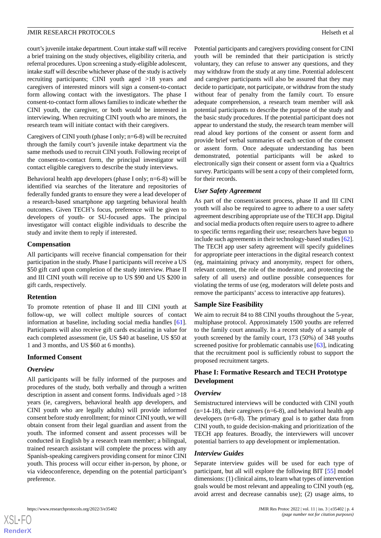court's juvenile intake department. Court intake staff will receive a brief training on the study objectives, eligibility criteria, and referral procedures. Upon screening a study-eligible adolescent, intake staff will describe whichever phase of the study is actively recruiting participants; CINI youth aged >18 years and caregivers of interested minors will sign a consent-to-contact form allowing contact with the investigators. The phase I consent-to-contact form allows families to indicate whether the CINI youth, the caregiver, or both would be interested in interviewing. When recruiting CINI youth who are minors, the research team will initiate contact with their caregivers.

Caregivers of CINI youth (phase I only; n=6-8) will be recruited through the family court's juvenile intake department via the same methods used to recruit CINI youth. Following receipt of the consent-to-contact form, the principal investigator will contact eligible caregivers to describe the study interviews.

Behavioral health app developers (phase I only; n=6-8) will be identified via searches of the literature and repositories of federally funded grants to ensure they were a lead developer of a research-based smartphone app targeting behavioral health outcomes. Given TECH's focus, preference will be given to developers of youth- or SU-focused apps. The principal investigator will contact eligible individuals to describe the study and invite them to reply if interested.

#### **Compensation**

All participants will receive financial compensation for their participation in the study. Phase I participants will receive a US \$50 gift card upon completion of the study interview. Phase II and III CINI youth will receive up to US \$90 and US \$200 in gift cards, respectively.

## **Retention**

To promote retention of phase II and III CINI youth at follow-up, we will collect multiple sources of contact information at baseline, including social media handles [[61\]](#page-13-1). Participants will also receive gift cards escalating in value for each completed assessment (ie, US \$40 at baseline, US \$50 at 1 and 3 months, and US \$60 at 6 months).

## **Informed Consent**

## *Overview*

 $XS$ -FO **[RenderX](http://www.renderx.com/)**

All participants will be fully informed of the purposes and procedures of the study, both verbally and through a written description in assent and consent forms. Individuals aged >18 years (ie, caregivers, behavioral health app developers, and CINI youth who are legally adults) will provide informed consent before study enrollment; for minor CINI youth, we will obtain consent from their legal guardian and assent from the youth. The informed consent and assent processes will be conducted in English by a research team member; a bilingual, trained research assistant will complete the process with any Spanish-speaking caregivers providing consent for minor CINI youth. This process will occur either in-person, by phone, or via videoconference, depending on the potential participant's preference.

Potential participants and caregivers providing consent for CINI youth will be reminded that their participation is strictly voluntary, they can refuse to answer any questions, and they may withdraw from the study at any time. Potential adolescent and caregiver participants will also be assured that they may decide to participate, not participate, or withdraw from the study without fear of penalty from the family court. To ensure adequate comprehension, a research team member will ask potential participants to describe the purpose of the study and the basic study procedures. If the potential participant does not appear to understand the study, the research team member will read aloud key portions of the consent or assent form and provide brief verbal summaries of each section of the consent or assent form. Once adequate understanding has been demonstrated, potential participants will be asked to electronically sign their consent or assent form via a Qualtrics survey. Participants will be sent a copy of their completed form, for their records.

## *User Safety Agreement*

As part of the consent/assent process, phase II and III CINI youth will also be required to agree to adhere to a user safety agreement describing appropriate use of the TECH app. Digital and social media products often require users to agree to adhere to specific terms regarding their use; researchers have begun to include such agreements in their technology-based studies [\[62\]](#page-13-2). The TECH app user safety agreement will specify guidelines for appropriate peer interactions in the digital research context (eg, maintaining privacy and anonymity, respect for others, relevant content, the role of the moderator, and protecting the safety of all users) and outline possible consequences for violating the terms of use (eg, moderators will delete posts and remove the participants' access to interactive app features).

## **Sample Size Feasibility**

We aim to recruit 84 to 88 CINI youths throughout the 5-year, multiphase protocol. Approximately 1500 youths are referred to the family court annually. In a recent study of a sample of youth screened by the family court, 173 (50%) of 348 youths screened positive for problematic cannabis use [[63\]](#page-13-3), indicating that the recruitment pool is sufficiently robust to support the proposed recruitment targets.

## **Phase I: Formative Research and TECH Prototype Development**

## *Overview*

Semistructured interviews will be conducted with CINI youth  $(n=14-18)$ , their caregivers  $(n=6-8)$ , and behavioral health app developers (n=6-8). The primary goal is to gather data from CINI youth, to guide decision-making and prioritization of the TECH app features. Broadly, the interviewers will uncover potential barriers to app development or implementation.

## *Interview Guides*

Separate interview guides will be used for each type of participant, but all will explore the following BIT [\[55](#page-12-14)] model dimensions: (1) clinical aims, to learn what types of intervention goals would be most relevant and appealing to CINI youth (eg, avoid arrest and decrease cannabis use); (2) usage aims, to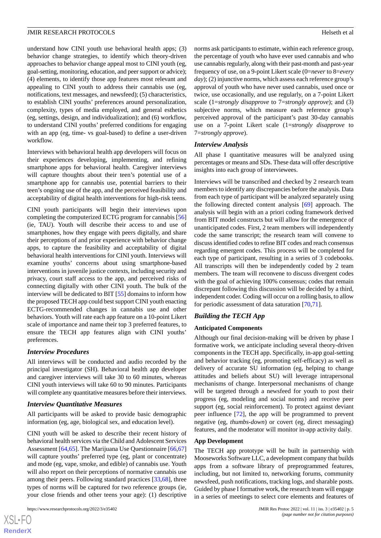understand how CINI youth use behavioral health apps; (3) behavior change strategies, to identify which theory-driven approaches to behavior change appeal most to CINI youth (eg, goal-setting, monitoring, education, and peer support or advice); (4) elements, to identify those app features most relevant and appealing to CINI youth to address their cannabis use (eg, notifications, text messages, and newsfeed); (5) characteristics, to establish CINI youths' preferences around personalization, complexity, types of media employed, and general esthetics (eg, settings, design, and individualization); and (6) workflow, to understand CINI youths' preferred conditions for engaging with an app (eg, time- vs goal-based) to define a user-driven workflow.

Interviews with behavioral health app developers will focus on their experiences developing, implementing, and refining smartphone apps for behavioral health. Caregiver interviews will capture thoughts about their teen's potential use of a smartphone app for cannabis use, potential barriers to their teen's ongoing use of the app, and the perceived feasibility and acceptability of digital health interventions for high-risk teens.

CINI youth participants will begin their interviews upon completing the computerized ECTG program for cannabis [\[56](#page-12-15)] (ie, TAU). Youth will describe their access to and use of smartphones, how they engage with peers digitally, and share their perceptions of and prior experience with behavior change apps, to capture the feasibility and acceptability of digital behavioral health interventions for CINI youth. Interviews will examine youths' concerns about using smartphone-based interventions in juvenile justice contexts, including security and privacy, court staff access to the app, and perceived risks of connecting digitally with other CINI youth. The bulk of the interview will be dedicated to BIT [[55\]](#page-12-14) domains to inform how the proposed TECH app could best support CINI youth enacting ECTG-recommended changes in cannabis use and other behaviors. Youth will rate each app feature on a 10-point Likert scale of importance and name their top 3 preferred features, to ensure the TECH app features align with CINI youths' preferences.

#### *Interview Procedures*

All interviews will be conducted and audio recorded by the principal investigator (SH). Behavioral health app developer and caregiver interviews will take 30 to 60 minutes, whereas CINI youth interviews will take 60 to 90 minutes. Participants will complete any quantitative measures before their interviews.

#### *Interview Quantitative Measures*

All participants will be asked to provide basic demographic information (eg, age, biological sex, and education level).

CINI youth will be asked to describe their recent history of behavioral health services via the Child and Adolescent Services Assessment [\[64](#page-13-4),[65\]](#page-13-5). The Marijuana Use Questionnaire [[66](#page-13-6)[,67](#page-13-7)] will capture youths' preferred type (eg, plant or concentrate) and mode (eg, vape, smoke, and edible) of cannabis use. Youth will also report on their perceptions of normative cannabis use among their peers. Following standard practices [[33,](#page-11-15)[68](#page-13-8)], three types of norms will be captured for two reference groups (ie, your close friends and other teens your age): (1) descriptive

[XSL](http://www.w3.org/Style/XSL)•FO **[RenderX](http://www.renderx.com/)** norms ask participants to estimate, within each reference group, the percentage of youth who have ever used cannabis and who use cannabis regularly, along with their past-month and past-year frequency of use, on a 9-point Likert scale (0=*never* to 8=*every day*); (2) injunctive norms, which assess each reference group's approval of youth who have never used cannabis, used once or twice, use occasionally, and use regularly, on a 7-point Likert scale (1=*strongly disapprove* to 7=*strongly approve*); and (3) subjective norms, which measure each reference group's perceived approval of the participant's past 30-day cannabis use on a 7-point Likert scale (1=*strongly disapprove* to 7=*strongly approve*).

#### *Interview Analysis*

All phase I quantitative measures will be analyzed using percentages or means and SDs. These data will offer descriptive insights into each group of interviewees.

Interviews will be transcribed and checked by 2 research team members to identify any discrepancies before the analysis. Data from each type of participant will be analyzed separately using the following directed content analysis [\[69](#page-13-9)] approach. The analysis will begin with an a priori coding framework derived from BIT model constructs but will allow for the emergence of unanticipated codes. First, 2 team members will independently code the same transcript; the research team will convene to discuss identified codes to refine BIT codes and reach consensus regarding emergent codes. This process will be completed for each type of participant, resulting in a series of 3 codebooks. All transcripts will then be independently coded by 2 team members. The team will reconvene to discuss divergent codes with the goal of achieving 100% consensus; codes that remain discrepant following this discussion will be decided by a third, independent coder. Coding will occur on a rolling basis, to allow for periodic assessment of data saturation [\[70](#page-13-10),[71\]](#page-13-11).

#### *Building the TECH App*

#### **Anticipated Components**

Although our final decision-making will be driven by phase I formative work, we anticipate including several theory-driven components in the TECH app. Specifically, in-app goal-setting and behavior tracking (eg, promoting self-efficacy) as well as delivery of accurate SU information (eg, helping to change attitudes and beliefs about SU) will leverage intrapersonal mechanisms of change. Interpersonal mechanisms of change will be targeted through a newsfeed for youth to post their progress (eg, modeling and social norms) and receive peer support (eg, social reinforcement). To protect against deviant peer influence [\[72](#page-13-12)], the app will be programmed to prevent negative (eg, *thumbs-down*) or covert (eg, direct messaging) features, and the moderator will monitor in-app activity daily.

#### **App Development**

The TECH app prototype will be built in partnership with Mooseworks Software LLC, a development company that builds apps from a software library of preprogrammed features, including, but not limited to, networking forums, community newsfeed, push notifications, tracking logs, and sharable posts. Guided by phase I formative work, the research team will engage in a series of meetings to select core elements and features of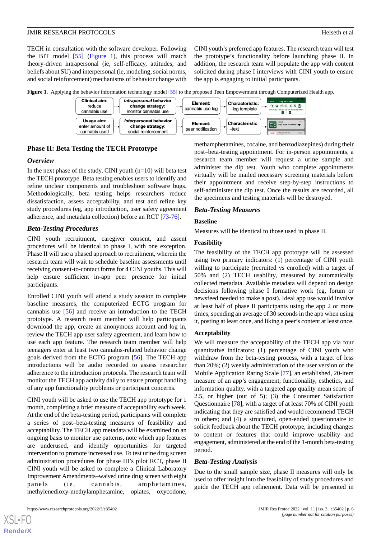TECH in consultation with the software developer. Following the BIT model [\[55](#page-12-14)] [\(Figure 1](#page-5-0)), this process will match theory-driven intrapersonal (ie, self-efficacy, attitudes, and beliefs about SU) and interpersonal (ie, modeling, social norms, and social reinforcement) mechanisms of behavior change with CINI youth's preferred app features. The research team will test the prototype's functionality before launching phase II. In addition, the research team will populate the app with content solicited during phase I interviews with CINI youth to ensure the app is engaging to initial participants.

<span id="page-5-0"></span>**Figure 1.** Applying the behavior information technology model [\[55](#page-12-14)] to the proposed Teen Empowerment through Computerized Health app.



## **Phase II: Beta Testing the TECH Prototype**

#### *Overview*

In the next phase of the study, CINI youth  $(n=10)$  will beta test the TECH prototype. Beta testing enables users to identify and refine unclear components and troubleshoot software bugs. Methodologically, beta testing helps researchers reduce dissatisfaction, assess acceptability, and test and refine key study procedures (eg, app introduction, user safety agreement adherence, and metadata collection) before an RCT [\[73](#page-13-13)-[76\]](#page-13-14).

#### *Beta-Testing Procedures*

CINI youth recruitment, caregiver consent, and assent procedures will be identical to phase I, with one exception. Phase II will use a phased approach to recruitment, wherein the research team will wait to schedule baseline assessments until receiving consent-to-contact forms for 4 CINI youths. This will help ensure sufficient in-app peer presence for initial participants.

Enrolled CINI youth will attend a study session to complete baseline measures, the computerized ECTG program for cannabis use [\[56](#page-12-15)] and receive an introduction to the TECH prototype. A research team member will help participants download the app, create an anonymous account and log in, review the TECH app user safety agreement, and learn how to use each app feature. The research team member will help teenagers enter at least two cannabis-related behavior change goals derived from the ECTG program [\[56](#page-12-15)]. The TECH app introductions will be audio recorded to assess researcher adherence to the introduction protocols. The research team will monitor the TECH app activity daily to ensure prompt handling of any app functionality problems or participant concerns.

CINI youth will be asked to use the TECH app prototype for 1 month, completing a brief measure of acceptability each week. At the end of the beta-testing period, participants will complete a series of post–beta-testing measures of feasibility and acceptability. The TECH app metadata will be examined on an ongoing basis to monitor use patterns, note which app features are underused, and identify opportunities for targeted intervention to promote increased use. To test urine drug screen administration procedures for phase III's pilot RCT, phase II CINI youth will be asked to complete a Clinical Laboratory Improvement Amendments–waived urine drug screen with eight panels (ie, cannabis, amphetamines, methylenedioxy-methylamphetamine, opiates, oxycodone,

methamphetamines, cocaine, and benzodiazepines) during their post–beta-testing appointment. For in-person appointments, a research team member will request a urine sample and administer the dip test. Youth who complete appointments virtually will be mailed necessary screening materials before their appointment and receive step-by-step instructions to self-administer the dip test. Once the results are recorded, all the specimens and testing materials will be destroyed.

#### *Beta-Testing Measures*

#### **Baseline**

Measures will be identical to those used in phase II.

#### **Feasibility**

The feasibility of the TECH app prototype will be assessed using two primary indicators: (1) percentage of CINI youth willing to participate (recruited vs enrolled) with a target of 50% and (2) TECH usability, measured by automatically collected metadata. Available metadata will depend on design decisions following phase I formative work (eg, forum or newsfeed needed to make a post). Ideal app use would involve at least half of phase II participants using the app 2 or more times, spending an average of 30 seconds in the app when using it, posting at least once, and liking a peer's content at least once.

#### **Acceptability**

We will measure the acceptability of the TECH app via four quantitative indicators: (1) percentage of CINI youth who withdraw from the beta-testing process, with a target of less than 20%; (2) weekly administration of the user version of the Mobile Application Rating Scale [[77\]](#page-13-15), an established, 20-item measure of an app's engagement, functionality, esthetics, and information quality, with a targeted app quality mean score of 2.5, or higher (out of 5); (3) the Consumer Satisfaction Questionnaire [\[78](#page-13-16)], with a target of at least 70% of CINI youth indicating that they are satisfied and would recommend TECH to others; and (4) a structured, open-ended questionnaire to solicit feedback about the TECH prototype, including changes to content or features that could improve usability and engagement, administered at the end of the 1-month beta-testing period.

#### *Beta-Testing Analysis*

Due to the small sample size, phase II measures will only be used to offer insight into the feasibility of study procedures and guide the TECH app refinement. Data will be presented in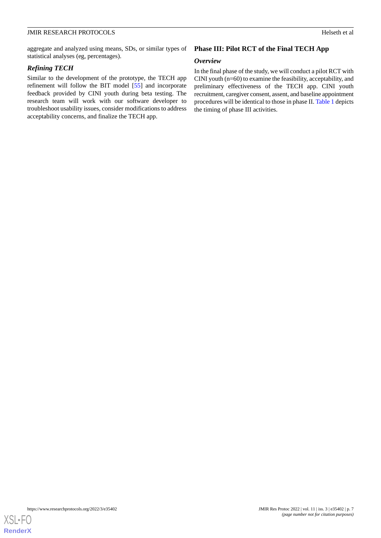aggregate and analyzed using means, SDs, or similar types of statistical analyses (eg, percentages).

## *Refining TECH*

Similar to the development of the prototype, the TECH app refinement will follow the BIT model [[55\]](#page-12-14) and incorporate feedback provided by CINI youth during beta testing. The research team will work with our software developer to troubleshoot usability issues, consider modifications to address acceptability concerns, and finalize the TECH app.

## **Phase III: Pilot RCT of the Final TECH App**

## *Overview*

In the final phase of the study, we will conduct a pilot RCT with CINI youth (n=60) to examine the feasibility, acceptability, and preliminary effectiveness of the TECH app. CINI youth recruitment, caregiver consent, assent, and baseline appointment procedures will be identical to those in phase II. [Table 1](#page-7-0) depicts the timing of phase III activities.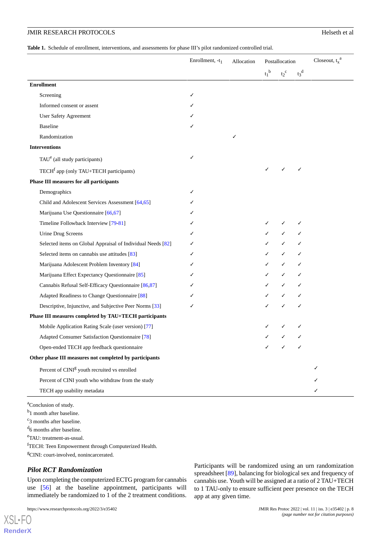## JMIR RESEARCH PROTOCOLS Helseth et al

<span id="page-7-0"></span>**Table 1.** Schedule of enrollment, interventions, and assessments for phase III's pilot randomized controlled trial.

|                                                             | Enrollment, -t <sub>1</sub> | Allocation | Postallocation |             |             | Closeout, $t_x^a$ |
|-------------------------------------------------------------|-----------------------------|------------|----------------|-------------|-------------|-------------------|
|                                                             |                             |            | $t_1^{\ b}$    | $t_2^{\ c}$ | $t_3^{\ d}$ |                   |
| <b>Enrollment</b>                                           |                             |            |                |             |             |                   |
| Screening                                                   | ✓                           |            |                |             |             |                   |
| Informed consent or assent                                  |                             |            |                |             |             |                   |
| <b>User Safety Agreement</b>                                |                             |            |                |             |             |                   |
| <b>Baseline</b>                                             |                             |            |                |             |             |                   |
| Randomization                                               |                             | ✓          |                |             |             |                   |
| <b>Interventions</b>                                        |                             |            |                |             |             |                   |
| TAU <sup>e</sup> (all study participants)                   | ✓                           |            |                |             |             |                   |
| TECH <sup>f</sup> app (only TAU+TECH participants)          |                             |            |                | ✓           | ✓           |                   |
| <b>Phase III measures for all participants</b>              |                             |            |                |             |             |                   |
| Demographics                                                | ✓                           |            |                |             |             |                   |
| Child and Adolescent Services Assessment [64,65]            |                             |            |                |             |             |                   |
| Marijuana Use Questionnaire [66,67]                         |                             |            |                |             |             |                   |
| Timeline Followback Interview [79-81]                       |                             |            |                |             | ✓           |                   |
| Urine Drug Screens                                          |                             |            |                |             |             |                   |
| Selected items on Global Appraisal of Individual Needs [82] |                             |            |                | ✓           |             |                   |
| Selected items on cannabis use attitudes [83]               |                             |            |                | ✓           |             |                   |
| Marijuana Adolescent Problem Inventory [84]                 |                             |            |                |             |             |                   |
| Marijuana Effect Expectancy Questionnaire [85]              |                             |            |                |             |             |                   |
| Cannabis Refusal Self-Efficacy Questionnaire [86,87]        |                             |            |                |             |             |                   |
| Adapted Readiness to Change Questionnaire [88]              |                             |            |                |             |             |                   |
| Descriptive, Injunctive, and Subjective Peer Norms [33]     |                             |            |                |             |             |                   |
| Phase III measures completed by TAU+TECH participants       |                             |            |                |             |             |                   |
| Mobile Application Rating Scale (user version) [77]         |                             |            |                |             |             |                   |
| Adapted Consumer Satisfaction Questionnaire [78]            |                             |            |                |             |             |                   |
| Open-ended TECH app feedback questionnaire                  |                             |            |                |             |             |                   |
| Other phase III measures not completed by participants      |                             |            |                |             |             |                   |
| Percent of CINI <sup>g</sup> youth recruited vs enrolled    |                             |            |                |             |             |                   |
| Percent of CINI youth who withdraw from the study           |                             |            |                |             |             |                   |
| TECH app usability metadata                                 |                             |            |                |             |             |                   |

<sup>a</sup>Conclusion of study.

<sup>b</sup>1 month after baseline.

<sup>c</sup>3 months after baseline.

<sup>d</sup>6 months after baseline.

<sup>e</sup>TAU: treatment-as-usual.

[XSL](http://www.w3.org/Style/XSL)•FO **[RenderX](http://www.renderx.com/)**

<sup>f</sup>TECH: Teen Empowerment through Computerized Health. <sup>g</sup>CINI: court-involved, nonincarcerated.

## *Pilot RCT Randomization*

Upon completing the computerized ECTG program for cannabis use [[56\]](#page-12-15) at the baseline appointment, participants will immediately be randomized to 1 of the 2 treatment conditions.

https://www.researchprotocols.org/2022/3/e35402 JMIR Res Protoc 2022 | vol. 11 | iss. 3 | e35402 | p. 8

Participants will be randomized using an urn randomization spreadsheet [[89\]](#page-14-5), balancing for biological sex and frequency of cannabis use. Youth will be assigned at a ratio of 2 TAU+TECH to 1 TAU-only to ensure sufficient peer presence on the TECH app at any given time.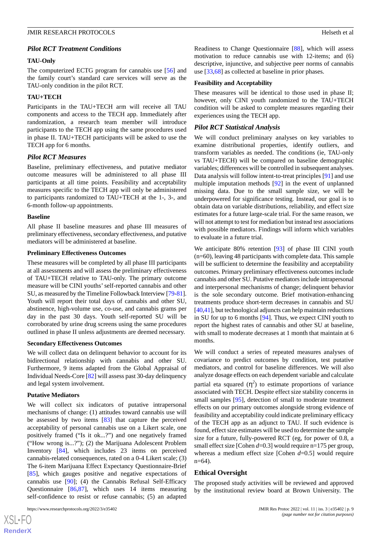## *Pilot RCT Treatment Conditions*

#### **TAU-Only**

The computerized ECTG program for cannabis use [\[56](#page-12-15)] and the family court's standard care services will serve as the TAU-only condition in the pilot RCT.

#### **TAU+TECH**

Participants in the TAU+TECH arm will receive all TAU components and access to the TECH app. Immediately after randomization, a research team member will introduce participants to the TECH app using the same procedures used in phase II. TAU+TECH participants will be asked to use the TECH app for 6 months.

## *Pilot RCT Measures*

Baseline, preliminary effectiveness, and putative mediator outcome measures will be administered to all phase III participants at all time points. Feasibility and acceptability measures specific to the TECH app will only be administered to participants randomized to TAU+TECH at the 1-, 3-, and 6-month follow-up appointments.

#### **Baseline**

All phase II baseline measures and phase III measures of preliminary effectiveness, secondary effectiveness, and putative mediators will be administered at baseline.

#### **Preliminary Effectiveness Outcomes**

These measures will be completed by all phase III participants at all assessments and will assess the preliminary effectiveness of TAU+TECH relative to TAU-only. The primary outcome measure will be CINI youths'self-reported cannabis and other SU, as measured by the Timeline Followback Interview [[79-](#page-13-17)[81\]](#page-13-18). Youth will report their total days of cannabis and other SU, abstinence, high-volume use, co-use, and cannabis grams per day in the past 30 days. Youth self-reported SU will be corroborated by urine drug screens using the same procedures outlined in phase II unless adjustments are deemed necessary.

#### **Secondary Effectiveness Outcomes**

We will collect data on delinquent behavior to account for its bidirectional relationship with cannabis and other SU. Furthermore, 9 items adapted from the Global Appraisal of Individual Needs-Core [\[82](#page-13-19)] will assess past 30-day delinquency and legal system involvement.

## **Putative Mediators**

We will collect six indicators of putative intrapersonal mechanisms of change: (1) attitudes toward cannabis use will be assessed by two items [\[83](#page-13-20)] that capture the perceived acceptability of personal cannabis use on a Likert scale, one positively framed ("Is it ok...?") and one negatively framed ("How wrong is...?"); (2) the Marijuana Adolescent Problem Inventory [[84\]](#page-14-0), which includes 23 items on perceived cannabis-related consequences, rated on a 0-4 Likert scale; (3) The 6-item Marijuana Effect Expectancy Questionnaire-Brief [[85\]](#page-14-1), which gauges positive and negative expectations of cannabis use [[90\]](#page-14-6); (4) the Cannabis Refusal Self-Efficacy Questionnaire [[86,](#page-14-2)[87](#page-14-3)], which uses 14 items measuring self-confidence to resist or refuse cannabis; (5) an adapted

Readiness to Change Questionnaire [\[88](#page-14-4)], which will assess motivation to reduce cannabis use with 12-items; and (6) descriptive, injunctive, and subjective peer norms of cannabis use [[33](#page-11-15)[,68](#page-13-8)] as collected at baseline in prior phases.

#### **Feasibility and Acceptability**

These measures will be identical to those used in phase II; however, only CINI youth randomized to the TAU+TECH condition will be asked to complete measures regarding their experiences using the TECH app.

#### *Pilot RCT Statistical Analysis*

We will conduct preliminary analyses on key variables to examine distributional properties, identify outliers, and transform variables as needed. The conditions (ie, TAU-only vs TAU+TECH) will be compared on baseline demographic variables; differences will be controlled in subsequent analyses. Data analysis will follow intent-to-treat principles [\[91](#page-14-7)] and use multiple imputation methods [\[92](#page-14-8)] in the event of unplanned missing data. Due to the small sample size, we will be underpowered for significance testing. Instead, our goal is to obtain data on variable distributions, reliability, and effect size estimates for a future large-scale trial. For the same reason, we will not attempt to test for mediation but instead test associations with possible mediators. Findings will inform which variables to evaluate in a future trial.

We anticipate 80% retention [[93\]](#page-14-9) of phase III CINI youth (n=60), leaving 48 participants with complete data. This sample will be sufficient to determine the feasibility and acceptability outcomes. Primary preliminary effectiveness outcomes include cannabis and other SU. Putative mediators include intrapersonal and interpersonal mechanisms of change; delinquent behavior is the sole secondary outcome. Brief motivation-enhancing treatments produce short-term decreases in cannabis and SU [[40](#page-12-1)[,41](#page-12-2)], but technological adjuncts can help maintain reductions in SU for up to 6 months [[94\]](#page-14-10). Thus, we expect CINI youth to report the highest rates of cannabis and other SU at baseline, with small to moderate decreases at 1 month that maintain at 6 months.

We will conduct a series of repeated measures analyses of covariance to predict outcomes by condition, test putative mediators, and control for baseline differences. We will also analyze dosage effects on each dependent variable and calculate partial eta squared  $(\eta^2)$  to estimate proportions of variance associated with TECH. Despite effect size stability concerns in small samples [[95\]](#page-14-11), detection of small to moderate treatment effects on our primary outcomes alongside strong evidence of feasibility and acceptability could indicate preliminary efficacy of the TECH app as an adjunct to TAU. If such evidence is found, effect size estimates will be used to determine the sample size for a future, fully-powered RCT (eg, for power of 0.8, a small effect size [Cohen *d*=0.3] would require n=175 per group, whereas a medium effect size [Cohen *d*=0.5] would require n=64).

## **Ethical Oversight**

The proposed study activities will be reviewed and approved by the institutional review board at Brown University. The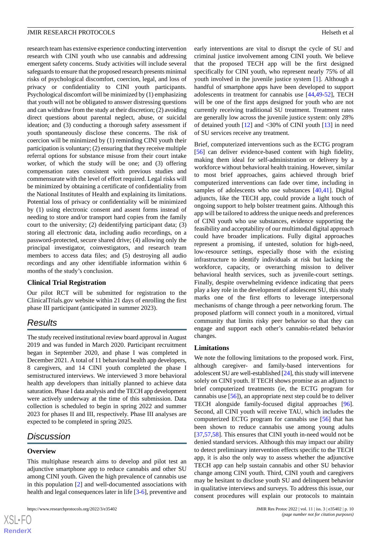research team has extensive experience conducting intervention research with CINI youth who use cannabis and addressing emergent safety concerns. Study activities will include several safeguards to ensure that the proposed research presents minimal risks of psychological discomfort, coercion, legal, and loss of privacy or confidentiality to CINI youth participants. Psychological discomfort will be minimized by (1) emphasizing that youth will not be obligated to answer distressing questions and can withdraw from the study at their discretion; (2) avoiding direct questions about parental neglect, abuse, or suicidal ideation; and (3) conducting a thorough safety assessment if youth spontaneously disclose these concerns. The risk of coercion will be minimized by (1) reminding CINI youth their participation is voluntary; (2) ensuring that they receive multiple referral options for substance misuse from their court intake worker, of which the study will be one; and (3) offering compensation rates consistent with previous studies and commensurate with the level of effort required. Legal risks will be minimized by obtaining a certificate of confidentiality from the National Institutes of Health and explaining its limitations. Potential loss of privacy or confidentiality will be minimized by (1) using electronic consent and assent forms instead of needing to store and/or transport hard copies from the family court to the university; (2) deidentifying participant data; (3) storing all electronic data, including audio recordings, on a password-protected, secure shared drive; (4) allowing only the principal investigator, coinvestigators, and research team members to access data files; and (5) destroying all audio recordings and any other identifiable information within 6 months of the study's conclusion.

## **Clinical Trial Registration**

Our pilot RCT will be submitted for registration to the ClinicalTrials.gov website within 21 days of enrolling the first phase III participant (anticipated in summer 2023).

## *Results*

The study received institutional review board approval in August 2019 and was funded in March 2020. Participant recruitment began in September 2020, and phase I was completed in December 2021. A total of 11 behavioral health app developers, 8 caregivers, and 14 CINI youth completed the phase I semistructured interviews. We interviewed 3 more behavioral health app developers than initially planned to achieve data saturation. Phase I data analysis and the TECH app development were actively underway at the time of this submission. Data collection is scheduled to begin in spring 2022 and summer 2023 for phases II and III, respectively. Phase III analyses are expected to be completed in spring 2025.

## *Discussion*

## **Overview**

This multiphase research aims to develop and pilot test an adjunctive smartphone app to reduce cannabis and other SU among CINI youth. Given the high prevalence of cannabis use in this population [\[2\]](#page-10-1) and well-documented associations with health and legal consequences later in life [\[3-](#page-10-2)[6\]](#page-10-5), preventive and

early interventions are vital to disrupt the cycle of SU and criminal justice involvement among CINI youth. We believe that the proposed TECH app will be the first designed specifically for CINI youth, who represent nearly 75% of all youth involved in the juvenile justice system [\[1](#page-10-0)]. Although a handful of smartphone apps have been developed to support adolescents in treatment for cannabis use [\[44](#page-12-5),[49-](#page-12-10)[52](#page-12-11)], TECH will be one of the first apps designed for youth who are not currently receiving traditional SU treatment. Treatment rates are generally low across the juvenile justice system: only 28% of detained youth [\[12](#page-10-11)] and <30% of CINI youth [[13\]](#page-10-12) in need of SU services receive any treatment.

Brief, computerized interventions such as the ECTG program [[56\]](#page-12-15) can deliver evidence-based content with high fidelity, making them ideal for self-administration or delivery by a workforce without behavioral health training. However, similar to most brief approaches, gains achieved through brief computerized interventions can fade over time, including in samples of adolescents who use substances [\[40](#page-12-1),[41\]](#page-12-2). Digital adjuncts, like the TECH app, could provide a light touch of ongoing support to help bolster treatment gains. Although this app will be tailored to address the unique needs and preferences of CINI youth who use substances, evidence supporting the feasibility and acceptability of our multimodal digital approach could have broader implications. Fully digital approaches represent a promising, if untested, solution for high-need, low-resource settings, especially those with the existing infrastructure to identify individuals at risk but lacking the workforce, capacity, or overarching mission to deliver behavioral health services, such as juvenile-court settings. Finally, despite overwhelming evidence indicating that peers play a key role in the development of adolescent SU, this study marks one of the first efforts to leverage interpersonal mechanisms of change through a peer networking forum. The proposed platform will connect youth in a monitored, virtual community that limits risky peer behavior so that they can engage and support each other's cannabis-related behavior changes.

## **Limitations**

We note the following limitations to the proposed work. First, although caregiver- and family-based interventions for adolescent SU are well-established [\[24](#page-11-17)], this study will intervene solely on CINI youth. If TECH shows promise as an adjunct to brief computerized treatments (ie, the ECTG program for cannabis use [[56\]](#page-12-15)), an appropriate next step could be to deliver TECH alongside family-focused digital approaches [[96\]](#page-14-12). Second, all CINI youth will receive TAU, which includes the computerized ECTG program for cannabis use [[56\]](#page-12-15) that has been shown to reduce cannabis use among young adults [[37,](#page-12-16)[57,](#page-12-17)[58\]](#page-12-18). This ensures that CINI youth in-need would not be denied standard services. Although this may impact our ability to detect preliminary intervention effects specific to the TECH app, it is also the only way to assess whether the adjunctive TECH app can help sustain cannabis and other SU behavior change among CINI youth. Third, CINI youth and caregivers may be hesitant to disclose youth SU and delinquent behavior in qualitative interviews and surveys. To address this issue, our consent procedures will explain our protocols to maintain

```
XS-FO
RenderX
```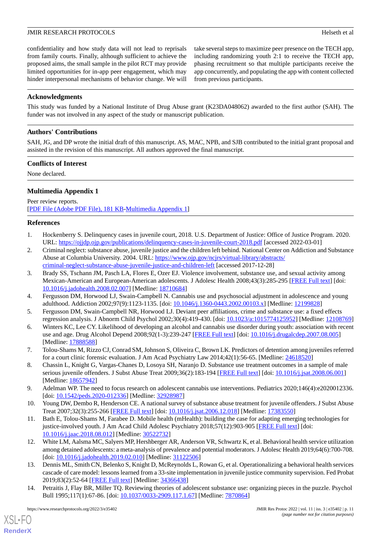confidentiality and how study data will not lead to reprisals from family courts. Finally, although sufficient to achieve the proposed aims, the small sample in the pilot RCT may provide limited opportunities for in-app peer engagement, which may hinder interpersonal mechanisms of behavior change. We will take several steps to maximize peer presence on the TECH app, including randomizing youth 2:1 to receive the TECH app, phasing recruitment so that multiple participants receive the app concurrently, and populating the app with content collected from previous participants.

## **Acknowledgments**

This study was funded by a National Institute of Drug Abuse grant (K23DA048062) awarded to the first author (SAH). The funder was not involved in any aspect of the study or manuscript publication.

## **Authors' Contributions**

SAH, JG, and DP wrote the initial draft of this manuscript. AS, MAC, NPB, and SJB contributed to the initial grant proposal and assisted in the revision of this manuscript. All authors approved the final manuscript.

## **Conflicts of Interest**

None declared.

## **Multimedia Appendix 1**

<span id="page-10-0"></span>Peer review reports. [[PDF File \(Adobe PDF File\), 181 KB](https://jmir.org/api/download?alt_name=resprot_v11i3e35402_app1.pdf&filename=32b642780804490d44cd1a846ae6a1f4.pdf)-[Multimedia Appendix 1\]](https://jmir.org/api/download?alt_name=resprot_v11i3e35402_app1.pdf&filename=32b642780804490d44cd1a846ae6a1f4.pdf)

## <span id="page-10-1"></span>**References**

- 1. Hockenberry S. Delinquency cases in juvenile court, 2018. U.S. Department of Justice: Office of Justice Program. 2020. URL: <https://ojjdp.ojp.gov/publications/delinquency-cases-in-juvenile-court-2018.pdf> [accessed 2022-03-01]
- <span id="page-10-2"></span>2. Criminal neglect: substance abuse, juvenile justice and the children left behind. National Center on Addiction and Substance Abuse at Columbia University. 2004. URL: [https://www.ojp.gov/ncjrs/virtual-library/abstracts/](https://www.ojp.gov/ncjrs/virtual-library/abstracts/criminal-neglect-substance-abuse-juvenile-justice-and-children-left) [criminal-neglect-substance-abuse-juvenile-justice-and-children-left](https://www.ojp.gov/ncjrs/virtual-library/abstracts/criminal-neglect-substance-abuse-juvenile-justice-and-children-left) [accessed 2017-12-28]
- <span id="page-10-4"></span><span id="page-10-3"></span>3. Brady SS, Tschann JM, Pasch LA, Flores E, Ozer EJ. Violence involvement, substance use, and sexual activity among Mexican-American and European-American adolescents. J Adolesc Health 2008;43(3):285-295 [\[FREE Full text\]](http://europepmc.org/abstract/MED/18710684) [doi: [10.1016/j.jadohealth.2008.02.007](http://dx.doi.org/10.1016/j.jadohealth.2008.02.007)] [Medline: [18710684](http://www.ncbi.nlm.nih.gov/entrez/query.fcgi?cmd=Retrieve&db=PubMed&list_uids=18710684&dopt=Abstract)]
- <span id="page-10-5"></span>4. Fergusson DM, Horwood LJ, Swain-Campbell N. Cannabis use and psychosocial adjustment in adolescence and young adulthood. Addiction 2002;97(9):1123-1135. [doi: [10.1046/j.1360-0443.2002.00103.x](http://dx.doi.org/10.1046/j.1360-0443.2002.00103.x)] [Medline: [12199828](http://www.ncbi.nlm.nih.gov/entrez/query.fcgi?cmd=Retrieve&db=PubMed&list_uids=12199828&dopt=Abstract)]
- <span id="page-10-6"></span>5. Fergusson DM, Swain-Campbell NR, Horwood LJ. Deviant peer affiliations, crime and substance use: a fixed effects regression analysis. J Abnorm Child Psychol 2002;30(4):419-430. [doi: [10.1023/a:1015774125952\]](http://dx.doi.org/10.1023/a:1015774125952) [Medline: [12108769](http://www.ncbi.nlm.nih.gov/entrez/query.fcgi?cmd=Retrieve&db=PubMed&list_uids=12108769&dopt=Abstract)]
- <span id="page-10-7"></span>6. Winters KC, Lee CY. Likelihood of developing an alcohol and cannabis use disorder during youth: association with recent use and age. Drug Alcohol Depend 2008;92(1-3):239-247 [\[FREE Full text\]](http://europepmc.org/abstract/MED/17888588) [doi: [10.1016/j.drugalcdep.2007.08.005](http://dx.doi.org/10.1016/j.drugalcdep.2007.08.005)] [Medline: [17888588](http://www.ncbi.nlm.nih.gov/entrez/query.fcgi?cmd=Retrieve&db=PubMed&list_uids=17888588&dopt=Abstract)]
- <span id="page-10-8"></span>7. Tolou-Shams M, Rizzo CJ, Conrad SM, Johnson S, Oliveira C, Brown LK. Predictors of detention among juveniles referred for a court clinic forensic evaluation. J Am Acad Psychiatry Law 2014;42(1):56-65. [Medline: [24618520](http://www.ncbi.nlm.nih.gov/entrez/query.fcgi?cmd=Retrieve&db=PubMed&list_uids=24618520&dopt=Abstract)]
- <span id="page-10-9"></span>8. Chassin L, Knight G, Vargas-Chanes D, Losoya SH, Naranjo D. Substance use treatment outcomes in a sample of male serious juvenile offenders. J Subst Abuse Treat 2009;36(2):183-194 [\[FREE Full text\]](http://europepmc.org/abstract/MED/18657942) [doi: [10.1016/j.jsat.2008.06.001\]](http://dx.doi.org/10.1016/j.jsat.2008.06.001) [Medline: [18657942](http://www.ncbi.nlm.nih.gov/entrez/query.fcgi?cmd=Retrieve&db=PubMed&list_uids=18657942&dopt=Abstract)]
- <span id="page-10-10"></span>9. Adelman WP. The need to focus research on adolescent cannabis use interventions. Pediatrics 2020;146(4):e2020012336. [doi: [10.1542/peds.2020-012336](http://dx.doi.org/10.1542/peds.2020-012336)] [Medline: [32928987](http://www.ncbi.nlm.nih.gov/entrez/query.fcgi?cmd=Retrieve&db=PubMed&list_uids=32928987&dopt=Abstract)]
- <span id="page-10-11"></span>10. Young DW, Dembo R, Henderson CE. A national survey of substance abuse treatment for juvenile offenders. J Subst Abuse Treat 2007;32(3):255-266 [\[FREE Full text\]](http://europepmc.org/abstract/MED/17383550) [doi: [10.1016/j.jsat.2006.12.018\]](http://dx.doi.org/10.1016/j.jsat.2006.12.018) [Medline: [17383550](http://www.ncbi.nlm.nih.gov/entrez/query.fcgi?cmd=Retrieve&db=PubMed&list_uids=17383550&dopt=Abstract)]
- <span id="page-10-12"></span>11. Bath E, Tolou-Shams M, Farabee D. Mobile health (mHealth): building the case for adapting emerging technologies for justice-involved youth. J Am Acad Child Adolesc Psychiatry 2018;57(12):903-905 [\[FREE Full text](http://europepmc.org/abstract/MED/30522732)] [doi: [10.1016/j.jaac.2018.08.012\]](http://dx.doi.org/10.1016/j.jaac.2018.08.012) [Medline: [30522732\]](http://www.ncbi.nlm.nih.gov/entrez/query.fcgi?cmd=Retrieve&db=PubMed&list_uids=30522732&dopt=Abstract)
- <span id="page-10-13"></span>12. White LM, Aalsma MC, Salyers MP, Hershberger AR, Anderson VR, Schwartz K, et al. Behavioral health service utilization among detained adolescents: a meta-analysis of prevalence and potential moderators. J Adolesc Health 2019;64(6):700-708. [doi: [10.1016/j.jadohealth.2019.02.010\]](http://dx.doi.org/10.1016/j.jadohealth.2019.02.010) [Medline: [31122506](http://www.ncbi.nlm.nih.gov/entrez/query.fcgi?cmd=Retrieve&db=PubMed&list_uids=31122506&dopt=Abstract)]
- 13. Dennis ML, Smith CN, Belenko S, Knight D, McReynolds L, Rowan G, et al. Operationalizing a behavioral health services cascade of care model: lessons learned from a 33-site implementation in juvenile justice community supervision. Fed Probat 2019;83(2):52-64 [[FREE Full text](http://europepmc.org/abstract/MED/34366438)] [Medline: [34366438](http://www.ncbi.nlm.nih.gov/entrez/query.fcgi?cmd=Retrieve&db=PubMed&list_uids=34366438&dopt=Abstract)]
- 14. Petraitis J, Flay BR, Miller TQ. Reviewing theories of adolescent substance use: organizing pieces in the puzzle. Psychol Bull 1995;117(1):67-86. [doi: [10.1037/0033-2909.117.1.67](http://dx.doi.org/10.1037/0033-2909.117.1.67)] [Medline: [7870864](http://www.ncbi.nlm.nih.gov/entrez/query.fcgi?cmd=Retrieve&db=PubMed&list_uids=7870864&dopt=Abstract)]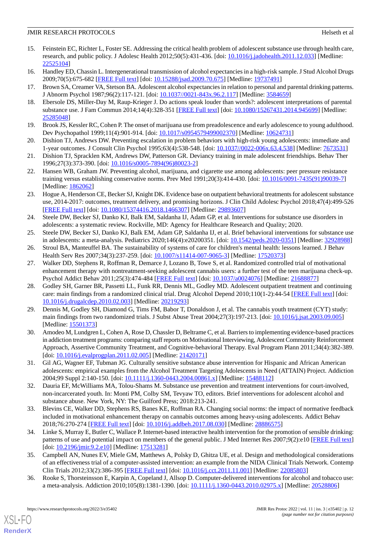- <span id="page-11-0"></span>15. Feinstein EC, Richter L, Foster SE. Addressing the critical health problem of adolescent substance use through health care, research, and public policy. J Adolesc Health 2012;50(5):431-436. [doi: [10.1016/j.jadohealth.2011.12.033\]](http://dx.doi.org/10.1016/j.jadohealth.2011.12.033) [Medline: [22525104](http://www.ncbi.nlm.nih.gov/entrez/query.fcgi?cmd=Retrieve&db=PubMed&list_uids=22525104&dopt=Abstract)]
- <span id="page-11-1"></span>16. Handley ED, Chassin L. Intergenerational transmission of alcohol expectancies in a high-risk sample. J Stud Alcohol Drugs 2009;70(5):675-682 [[FREE Full text](http://europepmc.org/abstract/MED/19737491)] [doi: [10.15288/jsad.2009.70.675](http://dx.doi.org/10.15288/jsad.2009.70.675)] [Medline: [19737491](http://www.ncbi.nlm.nih.gov/entrez/query.fcgi?cmd=Retrieve&db=PubMed&list_uids=19737491&dopt=Abstract)]
- <span id="page-11-2"></span>17. Brown SA, Creamer VA, Stetson BA. Adolescent alcohol expectancies in relation to personal and parental drinking patterns. J Abnorm Psychol 1987;96(2):117-121. [doi: [10.1037//0021-843x.96.2.117\]](http://dx.doi.org/10.1037//0021-843x.96.2.117) [Medline: [3584659\]](http://www.ncbi.nlm.nih.gov/entrez/query.fcgi?cmd=Retrieve&db=PubMed&list_uids=3584659&dopt=Abstract)
- <span id="page-11-3"></span>18. Ebersole DS, Miller-Day M, Raup-Krieger J. Do actions speak louder than words?: adolescent interpretations of parental substance use. J Fam Commun 2014;14(4):328-351 [[FREE Full text](http://europepmc.org/abstract/MED/25285048)] [doi: [10.1080/15267431.2014.945699\]](http://dx.doi.org/10.1080/15267431.2014.945699) [Medline: [25285048](http://www.ncbi.nlm.nih.gov/entrez/query.fcgi?cmd=Retrieve&db=PubMed&list_uids=25285048&dopt=Abstract)]
- <span id="page-11-4"></span>19. Brook JS, Kessler RC, Cohen P. The onset of marijuana use from preadolescence and early adolescence to young adulthood. Dev Psychopathol 1999;11(4):901-914. [doi: [10.1017/s0954579499002370\]](http://dx.doi.org/10.1017/s0954579499002370) [Medline: [10624731\]](http://www.ncbi.nlm.nih.gov/entrez/query.fcgi?cmd=Retrieve&db=PubMed&list_uids=10624731&dopt=Abstract)
- <span id="page-11-5"></span>20. Dishion TJ, Andrews DW. Preventing escalation in problem behaviors with high-risk young adolescents: immediate and 1-year outcomes. J Consult Clin Psychol 1995;63(4):538-548. [doi: [10.1037//0022-006x.63.4.538\]](http://dx.doi.org/10.1037//0022-006x.63.4.538) [Medline: [7673531](http://www.ncbi.nlm.nih.gov/entrez/query.fcgi?cmd=Retrieve&db=PubMed&list_uids=7673531&dopt=Abstract)]
- <span id="page-11-6"></span>21. Dishion TJ, Spracklen KM, Andrews DW, Patterson GR. Deviancy training in male adolescent friendships. Behav Ther 1996;27(3):373-390. [doi: [10.1016/s0005-7894\(96\)80023-2\]](http://dx.doi.org/10.1016/s0005-7894(96)80023-2)
- <span id="page-11-7"></span>22. Hansen WB, Graham JW. Preventing alcohol, marijuana, and cigarette use among adolescents: peer pressure resistance training versus establishing conservative norms. Prev Med 1991;20(3):414-430. [doi: [10.1016/0091-7435\(91\)90039-7\]](http://dx.doi.org/10.1016/0091-7435(91)90039-7) [Medline: [1862062\]](http://www.ncbi.nlm.nih.gov/entrez/query.fcgi?cmd=Retrieve&db=PubMed&list_uids=1862062&dopt=Abstract)
- <span id="page-11-17"></span>23. Hogue A, Henderson CE, Becker SJ, Knight DK. Evidence base on outpatient behavioral treatments for adolescent substance use, 2014-2017: outcomes, treatment delivery, and promising horizons. J Clin Child Adolesc Psychol 2018;47(4):499-526 [[FREE Full text](http://europepmc.org/abstract/MED/29893607)] [doi: [10.1080/15374416.2018.1466307\]](http://dx.doi.org/10.1080/15374416.2018.1466307) [Medline: [29893607](http://www.ncbi.nlm.nih.gov/entrez/query.fcgi?cmd=Retrieve&db=PubMed&list_uids=29893607&dopt=Abstract)]
- <span id="page-11-9"></span><span id="page-11-8"></span>24. Steele DW, Becker SJ, Danko KJ, Balk EM, Saldanha IJ, Adam GP, et al. Interventions for substance use disorders in adolescents: a systematic review. Rockville, MD: Agency for Healthcare Research and Quality; 2020.
- <span id="page-11-10"></span>25. Steele DW, Becker SJ, Danko KJ, Balk EM, Adam GP, Saldanha IJ, et al. Brief behavioral interventions for substance use in adolescents: a meta-analysis. Pediatrics 2020;146(4):e20200351. [doi: [10.1542/peds.2020-0351\]](http://dx.doi.org/10.1542/peds.2020-0351) [Medline: [32928988](http://www.ncbi.nlm.nih.gov/entrez/query.fcgi?cmd=Retrieve&db=PubMed&list_uids=32928988&dopt=Abstract)]
- 26. Stroul BA, Manteuffel BA. The sustainability of systems of care for children's mental health: lessons learned. J Behav Health Serv Res 2007;34(3):237-259. [doi: [10.1007/s11414-007-9065-3](http://dx.doi.org/10.1007/s11414-007-9065-3)] [Medline: [17520373\]](http://www.ncbi.nlm.nih.gov/entrez/query.fcgi?cmd=Retrieve&db=PubMed&list_uids=17520373&dopt=Abstract)
- 27. Walker DD, Stephens R, Roffman R, Demarce J, Lozano B, Towe S, et al. Randomized controlled trial of motivational enhancement therapy with nontreatment-seeking adolescent cannabis users: a further test of the teen marijuana check-up. Psychol Addict Behav 2011;25(3):474-484 [[FREE Full text](http://europepmc.org/abstract/MED/21688877)] [doi: [10.1037/a0024076](http://dx.doi.org/10.1037/a0024076)] [Medline: [21688877\]](http://www.ncbi.nlm.nih.gov/entrez/query.fcgi?cmd=Retrieve&db=PubMed&list_uids=21688877&dopt=Abstract)
- <span id="page-11-11"></span>28. Godley SH, Garner BR, Passetti LL, Funk RR, Dennis ML, Godley MD. Adolescent outpatient treatment and continuing care: main findings from a randomized clinical trial. Drug Alcohol Depend 2010;110(1-2):44-54 [[FREE Full text](http://europepmc.org/abstract/MED/20219293)] [doi: [10.1016/j.drugalcdep.2010.02.003\]](http://dx.doi.org/10.1016/j.drugalcdep.2010.02.003) [Medline: [20219293\]](http://www.ncbi.nlm.nih.gov/entrez/query.fcgi?cmd=Retrieve&db=PubMed&list_uids=20219293&dopt=Abstract)
- <span id="page-11-12"></span>29. Dennis M, Godley SH, Diamond G, Tims FM, Babor T, Donaldson J, et al. The cannabis youth treatment (CYT) study: main findings from two randomized trials. J Subst Abuse Treat 2004;27(3):197-213. [doi: [10.1016/j.jsat.2003.09.005](http://dx.doi.org/10.1016/j.jsat.2003.09.005)] [Medline: [15501373](http://www.ncbi.nlm.nih.gov/entrez/query.fcgi?cmd=Retrieve&db=PubMed&list_uids=15501373&dopt=Abstract)]
- <span id="page-11-13"></span>30. Amodeo M, Lundgren L, Cohen A, Rose D, Chassler D, Beltrame C, et al. Barriers to implementing evidence-based practices in addiction treatment programs: comparing staff reports on Motivational Interviewing, Adolescent Community Reinforcement Approach, Assertive Community Treatment, and Cognitive-behavioral Therapy. Eval Program Plann 2011;34(4):382-389. [doi: [10.1016/j.evalprogplan.2011.02.005\]](http://dx.doi.org/10.1016/j.evalprogplan.2011.02.005) [Medline: [21420171](http://www.ncbi.nlm.nih.gov/entrez/query.fcgi?cmd=Retrieve&db=PubMed&list_uids=21420171&dopt=Abstract)]
- <span id="page-11-15"></span><span id="page-11-14"></span>31. Gil AG, Wagner EF, Tubman JG. Culturally sensitive substance abuse intervention for Hispanic and African American adolescents: empirical examples from the Alcohol Treatment Targeting Adolescents in Need (ATTAIN) Project. Addiction 2004;99 Suppl 2:140-150. [doi: [10.1111/j.1360-0443.2004.00861.x](http://dx.doi.org/10.1111/j.1360-0443.2004.00861.x)] [Medline: [15488112](http://www.ncbi.nlm.nih.gov/entrez/query.fcgi?cmd=Retrieve&db=PubMed&list_uids=15488112&dopt=Abstract)]
- <span id="page-11-16"></span>32. Dauria EF, McWilliams MA, Tolou-Shams M. Substance use prevention and treatment interventions for court-involved, non-incarcerated youth. In: Monti PM, Colby SM, Tevyaw TO, editors. Brief interventions for adolescent alcohol and substance abuse. New York, NY: The Guilford Press; 2018:213-241.
- 33. Blevins CE, Walker DD, Stephens RS, Banes KE, Roffman RA. Changing social norms: the impact of normative feedback included in motivational enhancement therapy on cannabis outcomes among heavy-using adolescents. Addict Behav 2018;76:270-274 [\[FREE Full text\]](http://europepmc.org/abstract/MED/28886575) [doi: [10.1016/j.addbeh.2017.08.030\]](http://dx.doi.org/10.1016/j.addbeh.2017.08.030) [Medline: [28886575\]](http://www.ncbi.nlm.nih.gov/entrez/query.fcgi?cmd=Retrieve&db=PubMed&list_uids=28886575&dopt=Abstract)
- 34. Linke S, Murray E, Butler C, Wallace P. Internet-based interactive health intervention for the promotion of sensible drinking: patterns of use and potential impact on members of the general public. J Med Internet Res 2007;9(2):e10 [\[FREE Full text](https://www.jmir.org/2007/2/e10/)] [doi: [10.2196/jmir.9.2.e10](http://dx.doi.org/10.2196/jmir.9.2.e10)] [Medline: [17513281](http://www.ncbi.nlm.nih.gov/entrez/query.fcgi?cmd=Retrieve&db=PubMed&list_uids=17513281&dopt=Abstract)]
- 35. Campbell AN, Nunes EV, Miele GM, Matthews A, Polsky D, Ghitza UE, et al. Design and methodological considerations of an effectiveness trial of a computer-assisted intervention: an example from the NIDA Clinical Trials Network. Contemp Clin Trials 2012;33(2):386-395 [\[FREE Full text](http://europepmc.org/abstract/MED/22085803)] [doi: [10.1016/j.cct.2011.11.001](http://dx.doi.org/10.1016/j.cct.2011.11.001)] [Medline: [22085803](http://www.ncbi.nlm.nih.gov/entrez/query.fcgi?cmd=Retrieve&db=PubMed&list_uids=22085803&dopt=Abstract)]
- 36. Rooke S, Thorsteinsson E, Karpin A, Copeland J, Allsop D. Computer-delivered interventions for alcohol and tobacco use: a meta-analysis. Addiction 2010;105(8):1381-1390. [doi: [10.1111/j.1360-0443.2010.02975.x](http://dx.doi.org/10.1111/j.1360-0443.2010.02975.x)] [Medline: [20528806](http://www.ncbi.nlm.nih.gov/entrez/query.fcgi?cmd=Retrieve&db=PubMed&list_uids=20528806&dopt=Abstract)]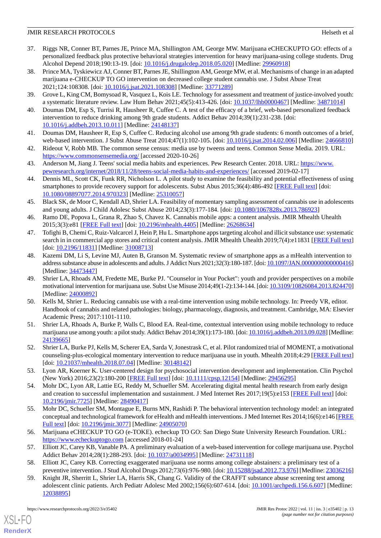- <span id="page-12-16"></span>37. Riggs NR, Conner BT, Parnes JE, Prince MA, Shillington AM, George MW. Marijuana eCHECKUPTO GO: effects of a personalized feedback plus protective behavioral strategies intervention for heavy marijuana-using college students. Drug Alcohol Depend 2018;190:13-19. [doi: [10.1016/j.drugalcdep.2018.05.020\]](http://dx.doi.org/10.1016/j.drugalcdep.2018.05.020) [Medline: [29960918](http://www.ncbi.nlm.nih.gov/entrez/query.fcgi?cmd=Retrieve&db=PubMed&list_uids=29960918&dopt=Abstract)]
- 38. Prince MA, Tyskiewicz AJ, Conner BT, Parnes JE, Shillington AM, George MW, et al. Mechanisms of change in an adapted marijuana e-CHECKUP TO GO intervention on decreased college student cannabis use. J Subst Abuse Treat 2021;124:108308. [doi: [10.1016/j.jsat.2021.108308\]](http://dx.doi.org/10.1016/j.jsat.2021.108308) [Medline: [33771289\]](http://www.ncbi.nlm.nih.gov/entrez/query.fcgi?cmd=Retrieve&db=PubMed&list_uids=33771289&dopt=Abstract)
- <span id="page-12-1"></span><span id="page-12-0"></span>39. Grove L, King CM, Bomysoad R, Vasquez L, Kois LE. Technology for assessment and treatment of justice-involved youth: a systematic literature review. Law Hum Behav 2021;45(5):413-426. [doi: [10.1037/lhb0000467](http://dx.doi.org/10.1037/lhb0000467)] [Medline: [34871014](http://www.ncbi.nlm.nih.gov/entrez/query.fcgi?cmd=Retrieve&db=PubMed&list_uids=34871014&dopt=Abstract)]
- <span id="page-12-2"></span>40. Doumas DM, Esp S, Turrisi R, Hausheer R, Cuffee C. A test of the efficacy of a brief, web-based personalized feedback intervention to reduce drinking among 9th grade students. Addict Behav 2014;39(1):231-238. [doi: [10.1016/j.addbeh.2013.10.011](http://dx.doi.org/10.1016/j.addbeh.2013.10.011)] [Medline: [24148137](http://www.ncbi.nlm.nih.gov/entrez/query.fcgi?cmd=Retrieve&db=PubMed&list_uids=24148137&dopt=Abstract)]
- <span id="page-12-3"></span>41. Doumas DM, Hausheer R, Esp S, Cuffee C. Reducing alcohol use among 9th grade students: 6 month outcomes of a brief, web-based intervention. J Subst Abuse Treat 2014;47(1):102-105. [doi: [10.1016/j.jsat.2014.02.006](http://dx.doi.org/10.1016/j.jsat.2014.02.006)] [Medline: [24666810\]](http://www.ncbi.nlm.nih.gov/entrez/query.fcgi?cmd=Retrieve&db=PubMed&list_uids=24666810&dopt=Abstract)
- <span id="page-12-4"></span>42. Rideout V, Robb MB. The common sense census: media use by tweens and teens. Common Sense Media. 2019. URL: <https://www.commonsensemedia.org/> [accessed 2020-10-26]
- <span id="page-12-5"></span>43. Anderson M, Jiang J. Teens' social media habits and experiences. Pew Research Center. 2018. URL: [https://www.](https://www.pewresearch.org/internet/2018/11/28/teens-social-media-habits-and-experiences/) [pewresearch.org/internet/2018/11/28/teens-social-media-habits-and-experiences/](https://www.pewresearch.org/internet/2018/11/28/teens-social-media-habits-and-experiences/) [accessed 2019-02-17]
- <span id="page-12-6"></span>44. Dennis ML, Scott CK, Funk RR, Nicholson L. A pilot study to examine the feasibility and potential effectiveness of using smartphones to provide recovery support for adolescents. Subst Abus 2015;36(4):486-492 [\[FREE Full text\]](http://europepmc.org/abstract/MED/25310057) [doi: [10.1080/08897077.2014.970323\]](http://dx.doi.org/10.1080/08897077.2014.970323) [Medline: [25310057\]](http://www.ncbi.nlm.nih.gov/entrez/query.fcgi?cmd=Retrieve&db=PubMed&list_uids=25310057&dopt=Abstract)
- <span id="page-12-7"></span>45. Black SK, de Moor C, Kendall AD, Shrier LA. Feasibility of momentary sampling assessment of cannabis use in adolescents and young adults. J Child Adolesc Subst Abuse 2014;23(3):177-184. [doi: [10.1080/1067828x.2013.786923](http://dx.doi.org/10.1080/1067828x.2013.786923)]
- <span id="page-12-8"></span>46. Ramo DE, Popova L, Grana R, Zhao S, Chavez K. Cannabis mobile apps: a content analysis. JMIR Mhealth Uhealth 2015;3(3):e81 [\[FREE Full text](https://mhealth.jmir.org/2015/3/e81/)] [doi: [10.2196/mhealth.4405\]](http://dx.doi.org/10.2196/mhealth.4405) [Medline: [26268634](http://www.ncbi.nlm.nih.gov/entrez/query.fcgi?cmd=Retrieve&db=PubMed&list_uids=26268634&dopt=Abstract)]
- <span id="page-12-9"></span>47. Tofighi B, Chemi C, Ruiz-Valcarcel J, Hein P, Hu L. Smartphone apps targeting alcohol and illicit substance use: systematic search in in commercial app stores and critical content analysis. JMIR Mhealth Uhealth 2019;7(4):e11831 [[FREE Full text](https://mhealth.jmir.org/2019/4/e11831/)] [doi: [10.2196/11831](http://dx.doi.org/10.2196/11831)] [Medline: [31008713\]](http://www.ncbi.nlm.nih.gov/entrez/query.fcgi?cmd=Retrieve&db=PubMed&list_uids=31008713&dopt=Abstract)
- <span id="page-12-10"></span>48. Kazemi DM, Li S, Levine MJ, Auten B, Granson M. Systematic review of smartphone apps as a mHealth intervention to address substance abuse in adolescents and adults. J Addict Nurs 2021;32(3):180-187. [doi: [10.1097/JAN.0000000000000416](http://dx.doi.org/10.1097/JAN.0000000000000416)] [Medline: [34473447](http://www.ncbi.nlm.nih.gov/entrez/query.fcgi?cmd=Retrieve&db=PubMed&list_uids=34473447&dopt=Abstract)]
- 49. Shrier LA, Rhoads AM, Fredette ME, Burke PJ. "Counselor in Your Pocket": youth and provider perspectives on a mobile motivational intervention for marijuana use. Subst Use Misuse 2014;49(1-2):134-144. [doi: [10.3109/10826084.2013.824470\]](http://dx.doi.org/10.3109/10826084.2013.824470) [Medline: [24000892](http://www.ncbi.nlm.nih.gov/entrez/query.fcgi?cmd=Retrieve&db=PubMed&list_uids=24000892&dopt=Abstract)]
- <span id="page-12-11"></span>50. Kells M, Shrier L. Reducing cannabis use with a real-time intervention using mobile technology. In: Preedy VR, editor. Handbook of cannabis and related pathologies: biology, pharmacology, diagnosis, and treatment. Cambridge, MA: Elsevier Academic Press; 2017:1101-1110.
- <span id="page-12-12"></span>51. Shrier LA, Rhoads A, Burke P, Walls C, Blood EA. Real-time, contextual intervention using mobile technology to reduce marijuana use among youth: a pilot study. Addict Behav 2014;39(1):173-180. [doi: [10.1016/j.addbeh.2013.09.028\]](http://dx.doi.org/10.1016/j.addbeh.2013.09.028) [Medline: [24139665](http://www.ncbi.nlm.nih.gov/entrez/query.fcgi?cmd=Retrieve&db=PubMed&list_uids=24139665&dopt=Abstract)]
- <span id="page-12-13"></span>52. Shrier LA, Burke PJ, Kells M, Scherer EA, Sarda V, Jonestrask C, et al. Pilot randomized trial of MOMENT, a motivational counseling-plus-ecological momentary intervention to reduce marijuana use in youth. Mhealth 2018;4:29 [[FREE Full text](https://doi.org/10.21037/mhealth.2018.07.04)] [doi: [10.21037/mhealth.2018.07.04\]](http://dx.doi.org/10.21037/mhealth.2018.07.04) [Medline: [30148142\]](http://www.ncbi.nlm.nih.gov/entrez/query.fcgi?cmd=Retrieve&db=PubMed&list_uids=30148142&dopt=Abstract)
- <span id="page-12-14"></span>53. Lyon AR, Koerner K. User-centered design for psychosocial intervention development and implementation. Clin Psychol (New York) 2016;23(2):180-200 [[FREE Full text](http://europepmc.org/abstract/MED/29456295)] [doi: [10.1111/cpsp.12154](http://dx.doi.org/10.1111/cpsp.12154)] [Medline: [29456295](http://www.ncbi.nlm.nih.gov/entrez/query.fcgi?cmd=Retrieve&db=PubMed&list_uids=29456295&dopt=Abstract)]
- <span id="page-12-15"></span>54. Mohr DC, Lyon AR, Lattie EG, Reddy M, Schueller SM. Accelerating digital mental health research from early design and creation to successful implementation and sustainment. J Med Internet Res 2017;19(5):e153 [[FREE Full text](https://www.jmir.org/2017/5/e153/)] [doi: [10.2196/jmir.7725](http://dx.doi.org/10.2196/jmir.7725)] [Medline: [28490417](http://www.ncbi.nlm.nih.gov/entrez/query.fcgi?cmd=Retrieve&db=PubMed&list_uids=28490417&dopt=Abstract)]
- <span id="page-12-18"></span><span id="page-12-17"></span>55. Mohr DC, Schueller SM, Montague E, Burns MN, Rashidi P. The behavioral intervention technology model: an integrated conceptual and technological framework for eHealth and mHealth interventions. J Med Internet Res 2014;16(6):e146 [\[FREE](https://www.jmir.org/2014/6/e146/) [Full text\]](https://www.jmir.org/2014/6/e146/) [doi: [10.2196/jmir.3077](http://dx.doi.org/10.2196/jmir.3077)] [Medline: [24905070\]](http://www.ncbi.nlm.nih.gov/entrez/query.fcgi?cmd=Retrieve&db=PubMed&list_uids=24905070&dopt=Abstract)
- <span id="page-12-19"></span>56. Marijuana eCHECKUP TO GO (e-TOKE). echeckup TO GO: San Diego State University Research Foundation. URL: <https://www.echeckuptogo.com> [accessed 2018-01-24]
- 57. Elliott JC, Carey KB, Vanable PA. A preliminary evaluation of a web-based intervention for college marijuana use. Psychol Addict Behav 2014;28(1):288-293. [doi: [10.1037/a0034995\]](http://dx.doi.org/10.1037/a0034995) [Medline: [24731118\]](http://www.ncbi.nlm.nih.gov/entrez/query.fcgi?cmd=Retrieve&db=PubMed&list_uids=24731118&dopt=Abstract)
- 58. Elliott JC, Carey KB. Correcting exaggerated marijuana use norms among college abstainers: a preliminary test of a preventive intervention. J Stud Alcohol Drugs 2012;73(6):976-980. [doi: [10.15288/jsad.2012.73.976\]](http://dx.doi.org/10.15288/jsad.2012.73.976) [Medline: [23036216](http://www.ncbi.nlm.nih.gov/entrez/query.fcgi?cmd=Retrieve&db=PubMed&list_uids=23036216&dopt=Abstract)]
- 59. Knight JR, Sherritt L, Shrier LA, Harris SK, Chang G. Validity of the CRAFFT substance abuse screening test among adolescent clinic patients. Arch Pediatr Adolesc Med 2002;156(6):607-614. [doi: [10.1001/archpedi.156.6.607\]](http://dx.doi.org/10.1001/archpedi.156.6.607) [Medline: [12038895](http://www.ncbi.nlm.nih.gov/entrez/query.fcgi?cmd=Retrieve&db=PubMed&list_uids=12038895&dopt=Abstract)]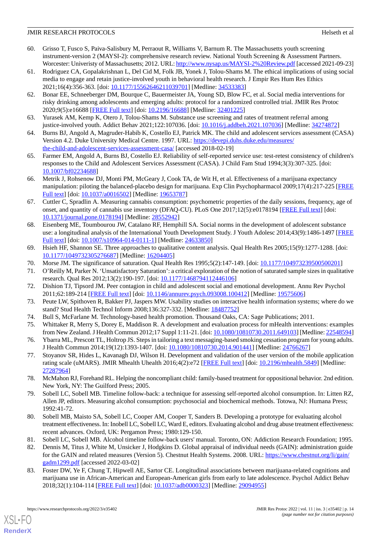- <span id="page-13-0"></span>60. Grisso T, Fusco S, Paiva-Salisbury M, Perraout R, Williams V, Barnum R. The Massachusetts youth screening instrument-version 2 (MAYSI-2): comprehensive research review. National Youth Screening & Assessment Partners. Worcester: Univeristy of Massachusetts; 2012. URL:<http://www.nysap.us/MAYSI-2%20Review.pdf> [accessed 2021-09-23]
- <span id="page-13-1"></span>61. Rodriguez CA, Gopalakrishnan L, Del Cid M, Folk JB, Yonek J, Tolou-Shams M. The ethical implications of using social media to engage and retain justice-involved youth in behavioral health research. J Empir Res Hum Res Ethics 2021;16(4):356-363. [doi: [10.1177/15562646211039701\]](http://dx.doi.org/10.1177/15562646211039701) [Medline: [34533383\]](http://www.ncbi.nlm.nih.gov/entrez/query.fcgi?cmd=Retrieve&db=PubMed&list_uids=34533383&dopt=Abstract)
- <span id="page-13-2"></span>62. Bonar EE, Schneeberger DM, Bourque C, Bauermeister JA, Young SD, Blow FC, et al. Social media interventions for risky drinking among adolescents and emerging adults: protocol for a randomized controlled trial. JMIR Res Protoc 2020;9(5):e16688 [\[FREE Full text](https://www.researchprotocols.org/2020/5/e16688/)] [doi: [10.2196/16688\]](http://dx.doi.org/10.2196/16688) [Medline: [32401225\]](http://www.ncbi.nlm.nih.gov/entrez/query.fcgi?cmd=Retrieve&db=PubMed&list_uids=32401225&dopt=Abstract)
- <span id="page-13-4"></span><span id="page-13-3"></span>63. Yurasek AM, Kemp K, Otero J, Tolou-Shams M. Substance use screening and rates of treatment referral among justice-involved youth. Addict Behav 2021;122:107036. [doi: [10.1016/j.addbeh.2021.107036\]](http://dx.doi.org/10.1016/j.addbeh.2021.107036) [Medline: [34274872](http://www.ncbi.nlm.nih.gov/entrez/query.fcgi?cmd=Retrieve&db=PubMed&list_uids=34274872&dopt=Abstract)]
- <span id="page-13-5"></span>64. Burns BJ, Angold A, Magruder-Habib K, Costello EJ, Patrick MK. The child and adolescent services assessment (CASA) Version 4.2. Duke University Medical Centre. 1997. URL: [https://devepi.duhs.duke.edu/measures/](https://devepi.duhs.duke.edu/measures/the-child-and-adolescent-services-assessment-casa/) [the-child-and-adolescent-services-assessment-casa/](https://devepi.duhs.duke.edu/measures/the-child-and-adolescent-services-assessment-casa/) [accessed 2018-02-19]
- <span id="page-13-6"></span>65. Farmer EM, Angold A, Burns BJ, Costello EJ. Reliability of self-reported service use: test-retest consistency of children's responses to the Child and Adolescent Services Assessment (CASA). J Child Fam Stud 1994;3(3):307-325. [doi: [10.1007/bf02234688](http://dx.doi.org/10.1007/bf02234688)]
- <span id="page-13-7"></span>66. Metrik J, Rohsenow DJ, Monti PM, McGeary J, Cook TA, de Wit H, et al. Effectiveness of a marijuana expectancy manipulation: piloting the balanced-placebo design for marijuana. Exp Clin Psychopharmacol 2009;17(4):217-225 [\[FREE](http://europepmc.org/abstract/MED/19653787) [Full text\]](http://europepmc.org/abstract/MED/19653787) [doi: [10.1037/a0016502\]](http://dx.doi.org/10.1037/a0016502) [Medline: [19653787\]](http://www.ncbi.nlm.nih.gov/entrez/query.fcgi?cmd=Retrieve&db=PubMed&list_uids=19653787&dopt=Abstract)
- <span id="page-13-8"></span>67. Cuttler C, Spradlin A. Measuring cannabis consumption: psychometric properties of the daily sessions, frequency, age of onset, and quantity of cannabis use inventory (DFAQ-CU). PLoS One 2017;12(5):e0178194 [\[FREE Full text\]](https://dx.plos.org/10.1371/journal.pone.0178194) [doi: [10.1371/journal.pone.0178194\]](http://dx.doi.org/10.1371/journal.pone.0178194) [Medline: [28552942](http://www.ncbi.nlm.nih.gov/entrez/query.fcgi?cmd=Retrieve&db=PubMed&list_uids=28552942&dopt=Abstract)]
- <span id="page-13-9"></span>68. Eisenberg ME, Toumbourou JW, Catalano RF, Hemphill SA. Social norms in the development of adolescent substance use: a longitudinal analysis of the International Youth Development Study. J Youth Adolesc 2014;43(9):1486-1497 [\[FREE](http://europepmc.org/abstract/MED/24633850) [Full text\]](http://europepmc.org/abstract/MED/24633850) [doi: [10.1007/s10964-014-0111-1](http://dx.doi.org/10.1007/s10964-014-0111-1)] [Medline: [24633850](http://www.ncbi.nlm.nih.gov/entrez/query.fcgi?cmd=Retrieve&db=PubMed&list_uids=24633850&dopt=Abstract)]
- <span id="page-13-11"></span><span id="page-13-10"></span>69. Hsieh HF, Shannon SE. Three approaches to qualitative content analysis. Qual Health Res 2005;15(9):1277-1288. [doi: [10.1177/1049732305276687\]](http://dx.doi.org/10.1177/1049732305276687) [Medline: [16204405\]](http://www.ncbi.nlm.nih.gov/entrez/query.fcgi?cmd=Retrieve&db=PubMed&list_uids=16204405&dopt=Abstract)
- <span id="page-13-12"></span>70. Morse JM. The significance of saturation. Qual Health Res 1995;5(2):147-149. [doi: [10.1177/104973239500500201](http://dx.doi.org/10.1177/104973239500500201)]
- <span id="page-13-13"></span>71. O'Reilly M, Parker N. 'Unsatisfactory Saturation': a critical exploration of the notion of saturated sample sizes in qualitative research. Qual Res 2012;13(2):190-197. [doi: [10.1177/1468794112446106](http://dx.doi.org/10.1177/1468794112446106)]
- 72. Dishion TJ, Tipsord JM. Peer contagion in child and adolescent social and emotional development. Annu Rev Psychol 2011;62:189-214 [\[FREE Full text\]](http://europepmc.org/abstract/MED/19575606) [doi: [10.1146/annurev.psych.093008.100412](http://dx.doi.org/10.1146/annurev.psych.093008.100412)] [Medline: [19575606](http://www.ncbi.nlm.nih.gov/entrez/query.fcgi?cmd=Retrieve&db=PubMed&list_uids=19575606&dopt=Abstract)]
- <span id="page-13-14"></span>73. Peute LW, Spithoven R, Bakker PJ, Jaspers MW. Usability studies on interactive health information systems; where do we stand? Stud Health Technol Inform 2008;136:327-332. [Medline: [18487752](http://www.ncbi.nlm.nih.gov/entrez/query.fcgi?cmd=Retrieve&db=PubMed&list_uids=18487752&dopt=Abstract)]
- <span id="page-13-15"></span>74. Bull S, McFarlane M. Technology-based health promotion. Thousand Oaks, CA: Sage Publications; 2011.
- 75. Whittaker R, Merry S, Dorey E, Maddison R. A development and evaluation process for mHealth interventions: examples from New Zealand. J Health Commun 2012;17 Suppl 1:11-21. [doi: [10.1080/10810730.2011.649103](http://dx.doi.org/10.1080/10810730.2011.649103)] [Medline: [22548594\]](http://www.ncbi.nlm.nih.gov/entrez/query.fcgi?cmd=Retrieve&db=PubMed&list_uids=22548594&dopt=Abstract)
- <span id="page-13-16"></span>76. Ybarra ML, Prescott TL, Holtrop JS. Steps in tailoring a text messaging-based smoking cessation program for young adults. J Health Commun 2014;19(12):1393-1407. [doi: [10.1080/10810730.2014.901441](http://dx.doi.org/10.1080/10810730.2014.901441)] [Medline: [24766267\]](http://www.ncbi.nlm.nih.gov/entrez/query.fcgi?cmd=Retrieve&db=PubMed&list_uids=24766267&dopt=Abstract)
- <span id="page-13-17"></span>77. Stoyanov SR, Hides L, Kavanagh DJ, Wilson H. Development and validation of the user version of the mobile application rating scale (uMARS). JMIR Mhealth Uhealth 2016;4(2):e72 [[FREE Full text](https://mhealth.jmir.org/2016/2/e72/)] [doi: [10.2196/mhealth.5849](http://dx.doi.org/10.2196/mhealth.5849)] [Medline: [27287964](http://www.ncbi.nlm.nih.gov/entrez/query.fcgi?cmd=Retrieve&db=PubMed&list_uids=27287964&dopt=Abstract)]
- 78. McMahon RJ, Forehand RL. Helping the noncompliant child: family-based treatment for oppositional behavior. 2nd edition. New York, NY: The Guilford Press; 2005.
- <span id="page-13-19"></span><span id="page-13-18"></span>79. Sobell LC, Sobell MB. Timeline follow-back: a technique for assessing self-reported alcohol consumption. In: Litten RZ, Allen JP, editors. Measuring alcohol consumption: psychosocial and biochemical methods. Totowa, NJ: Humana Press; 1992:41-72.
- <span id="page-13-20"></span>80. Sobell MB, Maisto SA, Sobell LC, Cooper AM, Cooper T, Sanders B. Developing a prototype for evaluating alcohol treatment effectiveness. In: Inobell LC, Sobell LC, Ward E, editors. Evaluating alcohol and drug abuse treatment effectiveness: recent advances. Oxford, UK: Pergamon Press; 1980:129-150.
- 81. Sobell LC, Sobell MB. Alcohol timeline follow-back users' manual. Toronto, ON: Addiction Research Foundation; 1995.
- 82. Dennis M, Titus J, White M, Unsicker J, Hodgkins D. Global appraisal of individual needs (GAIN): administration guide for the GAIN and related measures (Version 5). Chestnut Health Systems. 2008. URL: [https://www.chestnut.org/li/gain/](https://www.chestnut.org/li/gain/gadm1299.pdf) [gadm1299.pdf](https://www.chestnut.org/li/gain/gadm1299.pdf) [accessed 2022-03-02]
- 83. Foster DW, Ye F, Chung T, Hipwell AE, Sartor CE. Longitudinal associations between marijuana-related cognitions and marijuana use in African-American and European-American girls from early to late adolescence. Psychol Addict Behav 2018;32(1):104-114 [[FREE Full text](http://europepmc.org/abstract/MED/29094955)] [doi: [10.1037/adb0000323](http://dx.doi.org/10.1037/adb0000323)] [Medline: [29094955](http://www.ncbi.nlm.nih.gov/entrez/query.fcgi?cmd=Retrieve&db=PubMed&list_uids=29094955&dopt=Abstract)]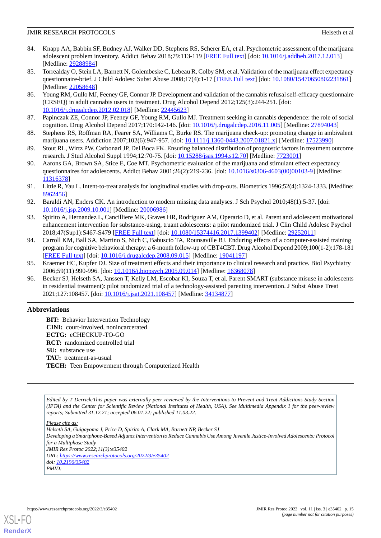- <span id="page-14-0"></span>84. Knapp AA, Babbin SF, Budney AJ, Walker DD, Stephens RS, Scherer EA, et al. Psychometric assessment of the marijuana adolescent problem inventory. Addict Behav 2018;79:113-119 [[FREE Full text\]](http://europepmc.org/abstract/MED/29288984) [doi: [10.1016/j.addbeh.2017.12.013](http://dx.doi.org/10.1016/j.addbeh.2017.12.013)] [Medline: [29288984](http://www.ncbi.nlm.nih.gov/entrez/query.fcgi?cmd=Retrieve&db=PubMed&list_uids=29288984&dopt=Abstract)]
- <span id="page-14-1"></span>85. Torrealday O, Stein LA, Barnett N, Golembeske C, Lebeau R, Colby SM, et al. Validation of the marijuana effect expectancy questionnaire-brief. J Child Adolesc Subst Abuse 2008;17(4):1-17 [[FREE Full text](http://europepmc.org/abstract/MED/22058648)] [doi: [10.1080/15470650802231861\]](http://dx.doi.org/10.1080/15470650802231861) [Medline: [22058648](http://www.ncbi.nlm.nih.gov/entrez/query.fcgi?cmd=Retrieve&db=PubMed&list_uids=22058648&dopt=Abstract)]
- <span id="page-14-2"></span>86. Young RM, Gullo MJ, Feeney GF, Connor JP. Development and validation of the cannabis refusal self-efficacy questionnaire (CRSEQ) in adult cannabis users in treatment. Drug Alcohol Depend 2012;125(3):244-251. [doi: [10.1016/j.drugalcdep.2012.02.018\]](http://dx.doi.org/10.1016/j.drugalcdep.2012.02.018) [Medline: [22445623\]](http://www.ncbi.nlm.nih.gov/entrez/query.fcgi?cmd=Retrieve&db=PubMed&list_uids=22445623&dopt=Abstract)
- <span id="page-14-4"></span><span id="page-14-3"></span>87. Papinczak ZE, Connor JP, Feeney GF, Young RM, Gullo MJ. Treatment seeking in cannabis dependence: the role of social cognition. Drug Alcohol Depend 2017;170:142-146. [doi: [10.1016/j.drugalcdep.2016.11.005](http://dx.doi.org/10.1016/j.drugalcdep.2016.11.005)] [Medline: [27894043](http://www.ncbi.nlm.nih.gov/entrez/query.fcgi?cmd=Retrieve&db=PubMed&list_uids=27894043&dopt=Abstract)]
- <span id="page-14-5"></span>88. Stephens RS, Roffman RA, Fearer SA, Williams C, Burke RS. The marijuana check-up: promoting change in ambivalent marijuana users. Addiction 2007;102(6):947-957. [doi: [10.1111/j.1360-0443.2007.01821.x](http://dx.doi.org/10.1111/j.1360-0443.2007.01821.x)] [Medline: [17523990](http://www.ncbi.nlm.nih.gov/entrez/query.fcgi?cmd=Retrieve&db=PubMed&list_uids=17523990&dopt=Abstract)]
- <span id="page-14-6"></span>89. Stout RL, Wirtz PW, Carbonari JP, Del Boca FK. Ensuring balanced distribution of prognostic factors in treatment outcome research. J Stud Alcohol Suppl 1994;12:70-75. [doi: [10.15288/jsas.1994.s12.70\]](http://dx.doi.org/10.15288/jsas.1994.s12.70) [Medline: [7723001](http://www.ncbi.nlm.nih.gov/entrez/query.fcgi?cmd=Retrieve&db=PubMed&list_uids=7723001&dopt=Abstract)]
- <span id="page-14-7"></span>90. Aarons GA, Brown SA, Stice E, Coe MT. Psychometric evaluation of the marijuana and stimulant effect expectancy questionnaires for adolescents. Addict Behav 2001;26(2):219-236. [doi: [10.1016/s0306-4603\(00\)00103-9](http://dx.doi.org/10.1016/s0306-4603(00)00103-9)] [Medline: [11316378](http://www.ncbi.nlm.nih.gov/entrez/query.fcgi?cmd=Retrieve&db=PubMed&list_uids=11316378&dopt=Abstract)]
- <span id="page-14-8"></span>91. Little R, Yau L. Intent-to-treat analysis for longitudinal studies with drop-outs. Biometrics 1996;52(4):1324-1333. [Medline: [8962456\]](http://www.ncbi.nlm.nih.gov/entrez/query.fcgi?cmd=Retrieve&db=PubMed&list_uids=8962456&dopt=Abstract)
- <span id="page-14-9"></span>92. Baraldi AN, Enders CK. An introduction to modern missing data analyses. J Sch Psychol 2010;48(1):5-37. [doi: [10.1016/j.jsp.2009.10.001](http://dx.doi.org/10.1016/j.jsp.2009.10.001)] [Medline: [20006986](http://www.ncbi.nlm.nih.gov/entrez/query.fcgi?cmd=Retrieve&db=PubMed&list_uids=20006986&dopt=Abstract)]
- <span id="page-14-10"></span>93. Spirito A, Hernandez L, Cancilliere MK, Graves HR, Rodriguez AM, Operario D, et al. Parent and adolescent motivational enhancement intervention for substance-using, truant adolescents: a pilot randomized trial. J Clin Child Adolesc Psychol 2018;47(Sup1):S467-S479 [[FREE Full text](http://europepmc.org/abstract/MED/29252011)] [doi: [10.1080/15374416.2017.1399402](http://dx.doi.org/10.1080/15374416.2017.1399402)] [Medline: [29252011](http://www.ncbi.nlm.nih.gov/entrez/query.fcgi?cmd=Retrieve&db=PubMed&list_uids=29252011&dopt=Abstract)]
- <span id="page-14-12"></span><span id="page-14-11"></span>94. Carroll KM, Ball SA, Martino S, Nich C, Babuscio TA, Rounsaville BJ. Enduring effects of a computer-assisted training program for cognitive behavioral therapy: a 6-month follow-up of CBT4CBT. Drug Alcohol Depend 2009;100(1-2):178-181 [[FREE Full text](http://europepmc.org/abstract/MED/19041197)] [doi: [10.1016/j.drugalcdep.2008.09.015\]](http://dx.doi.org/10.1016/j.drugalcdep.2008.09.015) [Medline: [19041197\]](http://www.ncbi.nlm.nih.gov/entrez/query.fcgi?cmd=Retrieve&db=PubMed&list_uids=19041197&dopt=Abstract)
- 95. Kraemer HC, Kupfer DJ. Size of treatment effects and their importance to clinical research and practice. Biol Psychiatry 2006;59(11):990-996. [doi: [10.1016/j.biopsych.2005.09.014\]](http://dx.doi.org/10.1016/j.biopsych.2005.09.014) [Medline: [16368078](http://www.ncbi.nlm.nih.gov/entrez/query.fcgi?cmd=Retrieve&db=PubMed&list_uids=16368078&dopt=Abstract)]
- 96. Becker SJ, Helseth SA, Janssen T, Kelly LM, Escobar KI, Souza T, et al. Parent SMART (substance misuse in adolescents in residential treatment): pilot randomized trial of a technology-assisted parenting intervention. J Subst Abuse Treat 2021;127:108457. [doi: [10.1016/j.jsat.2021.108457\]](http://dx.doi.org/10.1016/j.jsat.2021.108457) [Medline: [34134877\]](http://www.ncbi.nlm.nih.gov/entrez/query.fcgi?cmd=Retrieve&db=PubMed&list_uids=34134877&dopt=Abstract)

## **Abbreviations**

**BIT:** Behavior Intervention Technology **CINI:** court-involved, nonincarcerated **ECTG:** eCHECKUP-TO-GO **RCT:** randomized controlled trial **SU:** substance use **TAU:** treatment-as-usual **TECH:** Teen Empowerment through Computerized Health

*Edited by T Derrick;This paper was externally peer reviewed by the Interventions to Prevent and Treat Addictions Study Section (IPTA) and the Center for Scientific Review (National Institutes of Health, USA). See Multimedia Appendix 1 for the peer-review reports; Submitted 31.12.21; accepted 06.01.22; published 11.03.22.*

*Please cite as: Helseth SA, Guigayoma J, Price D, Spirito A, Clark MA, Barnett NP, Becker SJ Developing a Smartphone-Based Adjunct Intervention to Reduce Cannabis Use Among Juvenile Justice-Involved Adolescents: Protocol for a Multiphase Study JMIR Res Protoc 2022;11(3):e35402 URL: <https://www.researchprotocols.org/2022/3/e35402> doi: [10.2196/35402](http://dx.doi.org/10.2196/35402) PMID:*



**[RenderX](http://www.renderx.com/)**